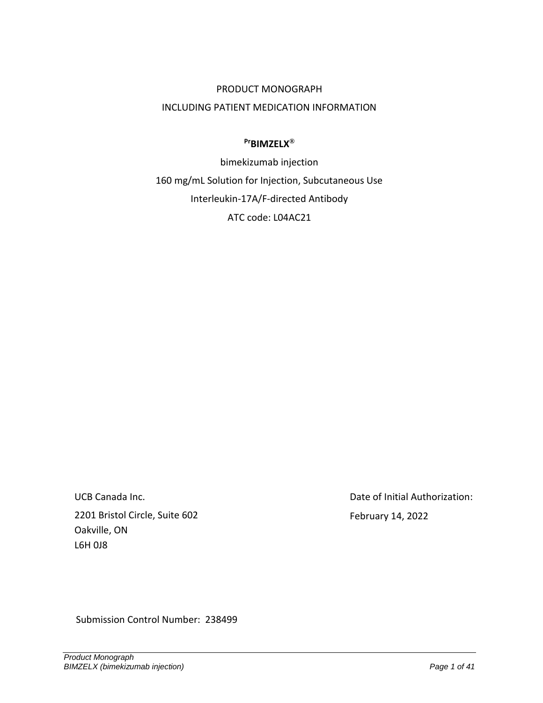# PRODUCT MONOGRAPH INCLUDING PATIENT MEDICATION INFORMATION

#### **PrBIMZELX®**

bimekizumab injection 160 mg/mL Solution for Injection, Subcutaneous Use Interleukin-17A/F-directed Antibody ATC code: L04AC21

UCB Canada Inc. 2201 Bristol Circle, Suite 602 Oakville, ON L6H 0J8

Date of Initial Authorization: February 14, 2022

Submission Control Number: 238499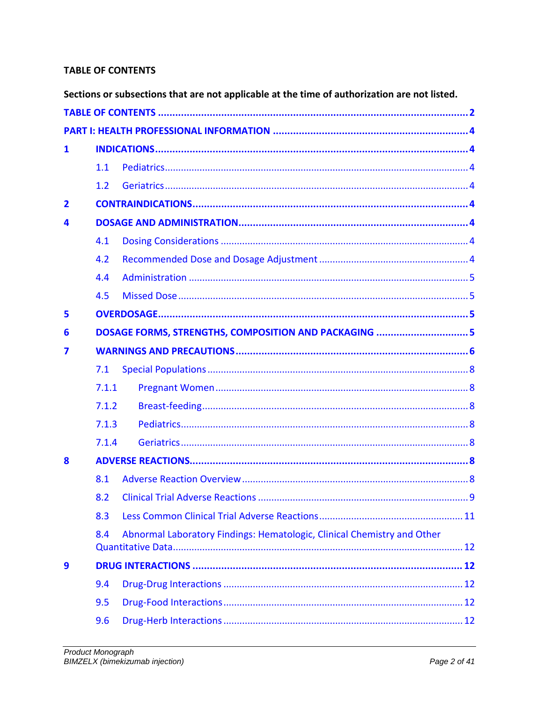# <span id="page-1-0"></span>**TABLE OF CONTENTS**

|                |                                                       | Sections or subsections that are not applicable at the time of authorization are not listed. |  |  |  |  |  |
|----------------|-------------------------------------------------------|----------------------------------------------------------------------------------------------|--|--|--|--|--|
|                |                                                       |                                                                                              |  |  |  |  |  |
|                |                                                       |                                                                                              |  |  |  |  |  |
| $\mathbf{1}$   |                                                       |                                                                                              |  |  |  |  |  |
|                | 1.1                                                   |                                                                                              |  |  |  |  |  |
|                | 1.2                                                   |                                                                                              |  |  |  |  |  |
| $\overline{2}$ |                                                       |                                                                                              |  |  |  |  |  |
| 4              |                                                       |                                                                                              |  |  |  |  |  |
|                | 4.1                                                   |                                                                                              |  |  |  |  |  |
|                | 4.2                                                   |                                                                                              |  |  |  |  |  |
|                | 4.4                                                   |                                                                                              |  |  |  |  |  |
|                | 4.5                                                   |                                                                                              |  |  |  |  |  |
| 5              |                                                       |                                                                                              |  |  |  |  |  |
| 6              | DOSAGE FORMS, STRENGTHS, COMPOSITION AND PACKAGING  5 |                                                                                              |  |  |  |  |  |
| 7              |                                                       |                                                                                              |  |  |  |  |  |
|                | 7.1                                                   |                                                                                              |  |  |  |  |  |
|                | 7.1.1                                                 |                                                                                              |  |  |  |  |  |
|                | 7.1.2                                                 |                                                                                              |  |  |  |  |  |
|                | 7.1.3                                                 |                                                                                              |  |  |  |  |  |
|                | 7.1.4                                                 |                                                                                              |  |  |  |  |  |
| 8              |                                                       |                                                                                              |  |  |  |  |  |
|                | 8.1                                                   |                                                                                              |  |  |  |  |  |
|                | 8.2                                                   |                                                                                              |  |  |  |  |  |
|                | 8.3                                                   |                                                                                              |  |  |  |  |  |
|                | 8.4                                                   | Abnormal Laboratory Findings: Hematologic, Clinical Chemistry and Other                      |  |  |  |  |  |
| 9              |                                                       |                                                                                              |  |  |  |  |  |
|                | 9.4                                                   |                                                                                              |  |  |  |  |  |
|                | 9.5                                                   |                                                                                              |  |  |  |  |  |
|                | 9.6                                                   |                                                                                              |  |  |  |  |  |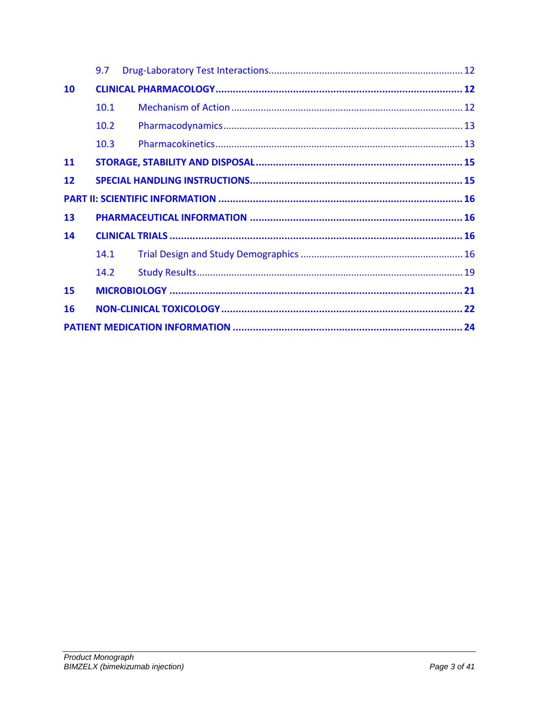|           | 9.7  |  |  |  |  |  |  |
|-----------|------|--|--|--|--|--|--|
| 10        |      |  |  |  |  |  |  |
|           | 10.1 |  |  |  |  |  |  |
|           | 10.2 |  |  |  |  |  |  |
|           | 10.3 |  |  |  |  |  |  |
| <b>11</b> |      |  |  |  |  |  |  |
| 12        |      |  |  |  |  |  |  |
|           |      |  |  |  |  |  |  |
| 13        |      |  |  |  |  |  |  |
| 14        |      |  |  |  |  |  |  |
|           | 14.1 |  |  |  |  |  |  |
|           | 14.2 |  |  |  |  |  |  |
| 15        |      |  |  |  |  |  |  |
| 16        |      |  |  |  |  |  |  |
|           |      |  |  |  |  |  |  |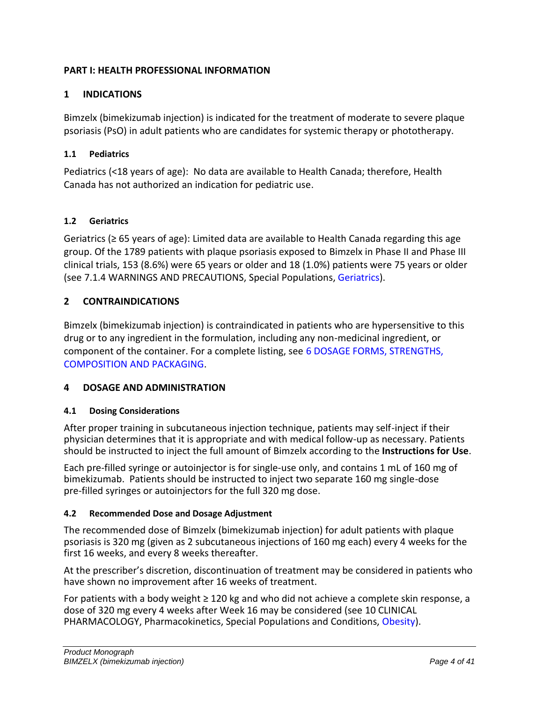# <span id="page-3-0"></span>**PART I: HEALTH PROFESSIONAL INFORMATION**

# <span id="page-3-1"></span>**1 INDICATIONS**

Bimzelx (bimekizumab injection) is indicated for the treatment of moderate to severe plaque psoriasis (PsO) in adult patients who are candidates for systemic therapy or phototherapy.

#### <span id="page-3-2"></span>**1.1 Pediatrics**

Pediatrics (<18 years of age): No data are available to Health Canada; therefore, Health Canada has not authorized an indication for pediatric use.

#### <span id="page-3-3"></span>**1.2 Geriatrics**

Geriatrics (≥ 65 years of age): Limited data are available to Health Canada regarding this age group. Of the 1789 patients with plaque psoriasis exposed to Bimzelx in Phase II and Phase III clinical trials, 153 (8.6%) were 65 years or older and 18 (1.0%) patients were 75 years or older (see 7.1.4 WARNINGS AND PRECAUTIONS, Special Populations, [Geriatrics](#page-7-4)).

#### <span id="page-3-4"></span>**2 CONTRAINDICATIONS**

Bimzelx (bimekizumab injection) is contraindicated in patients who are hypersensitive to this drug or to any ingredient in the formulation, including any non-medicinal ingredient, or component of the container. For a complete listing, see [6](#page-4-3) [DOSAGE FORMS, STRENGTHS,](#page-4-3)  [COMPOSITION AND PACKAGING](#page-4-3).

# <span id="page-3-5"></span>**4 DOSAGE AND ADMINISTRATION**

#### <span id="page-3-6"></span>**4.1 Dosing Considerations**

After proper training in subcutaneous injection technique, patients may self-inject if their physician determines that it is appropriate and with medical follow-up as necessary. Patients should be instructed to inject the full amount of Bimzelx according to the **Instructions for Use**.

Each pre-filled syringe or autoinjector is for single-use only, and contains 1 mL of 160 mg of bimekizumab. Patients should be instructed to inject two separate 160 mg single-dose pre-filled syringes or autoinjectors for the full 320 mg dose.

#### <span id="page-3-7"></span>**4.2 Recommended Dose and Dosage Adjustment**

The recommended dose of Bimzelx (bimekizumab injection) for adult patients with plaque psoriasis is 320 mg (given as 2 subcutaneous injections of 160 mg each) every 4 weeks for the first 16 weeks, and every 8 weeks thereafter.

At the prescriber's discretion, discontinuation of treatment may be considered in patients who have shown no improvement after 16 weeks of treatment.

For patients with a body weight ≥ 120 kg and who did not achieve a complete skin response, a dose of 320 mg every 4 weeks after Week 16 may be considered (see 10 CLINICAL PHARMACOLOGY, Pharmacokinetics, Special Populations and Conditions, [Obesity\)](#page-13-0).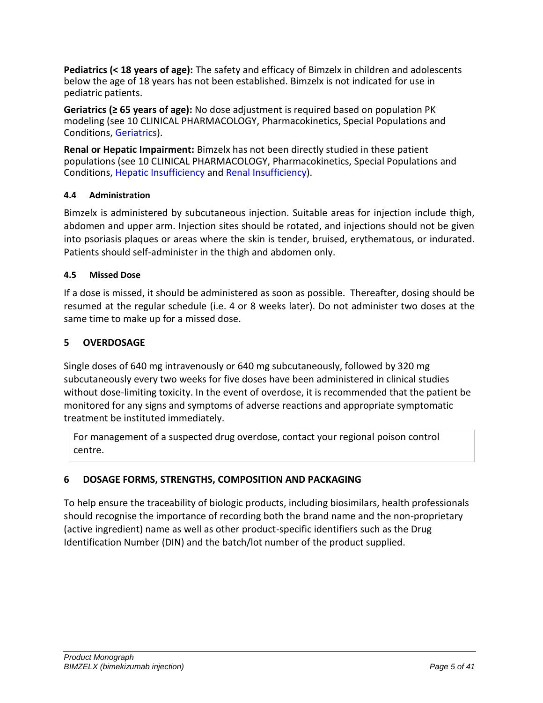**Pediatrics (< 18 years of age):** The safety and efficacy of Bimzelx in children and adolescents below the age of 18 years has not been established. Bimzelx is not indicated for use in pediatric patients.

<span id="page-4-4"></span>**Geriatrics (≥ 65 years of age):** No dose adjustment is required based on population PK modeling (see 10 CLINICAL PHARMACOLOGY, Pharmacokinetics, Special Populations and Conditions, [Geriatrics\)](#page-13-1).

**Renal or Hepatic Impairment:** Bimzelx has not been directly studied in these patient populations (see 10 CLINICAL PHARMACOLOGY, Pharmacokinetics, Special Populations and Conditions, [Hepatic Insufficiency](#page-13-2) and [Renal Insufficiency\)](#page-13-3).

# <span id="page-4-0"></span>**4.4 Administration**

Bimzelx is administered by subcutaneous injection. Suitable areas for injection include thigh, abdomen and upper arm. Injection sites should be rotated, and injections should not be given into psoriasis plaques or areas where the skin is tender, bruised, erythematous, or indurated. Patients should self-administer in the thigh and abdomen only.

# <span id="page-4-1"></span>**4.5 Missed Dose**

If a dose is missed, it should be administered as soon as possible. Thereafter, dosing should be resumed at the regular schedule (i.e. 4 or 8 weeks later). Do not administer two doses at the same time to make up for a missed dose.

# <span id="page-4-2"></span>**5 OVERDOSAGE**

Single doses of 640 mg intravenously or 640 mg subcutaneously, followed by 320 mg subcutaneously every two weeks for five doses have been administered in clinical studies without dose-limiting toxicity. In the event of overdose, it is recommended that the patient be monitored for any signs and symptoms of adverse reactions and appropriate symptomatic treatment be instituted immediately.

For management of a suspected drug overdose, contact your regional poison control centre.

# <span id="page-4-3"></span>**6 DOSAGE FORMS, STRENGTHS, COMPOSITION AND PACKAGING**

To help ensure the traceability of biologic products, including biosimilars, health professionals should recognise the importance of recording both the brand name and the non-proprietary (active ingredient) name as well as other product-specific identifiers such as the Drug Identification Number (DIN) and the batch/lot number of the product supplied.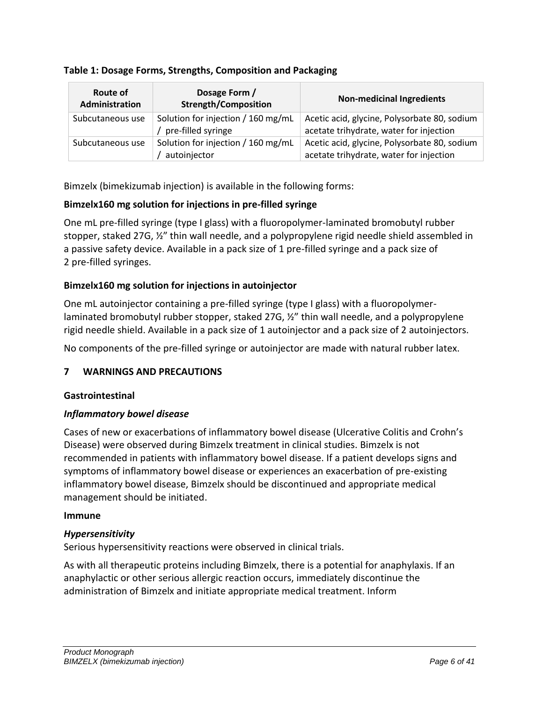#### **Table 1: Dosage Forms, Strengths, Composition and Packaging**

| Route of<br><b>Administration</b> | Dosage Form /<br><b>Strength/Composition</b>             | <b>Non-medicinal Ingredients</b>                                                        |
|-----------------------------------|----------------------------------------------------------|-----------------------------------------------------------------------------------------|
| Subcutaneous use                  | Solution for injection / 160 mg/mL<br>pre-filled syringe | Acetic acid, glycine, Polysorbate 80, sodium<br>acetate trihydrate, water for injection |
| Subcutaneous use                  | Solution for injection / 160 mg/mL<br>autoinjector       | Acetic acid, glycine, Polysorbate 80, sodium<br>acetate trihydrate, water for injection |

Bimzelx (bimekizumab injection) is available in the following forms:

# **Bimzelx160 mg solution for injections in pre-filled syringe**

One mL pre-filled syringe (type I glass) with a fluoropolymer-laminated bromobutyl rubber stopper, staked 27G, ½" thin wall needle, and a polypropylene rigid needle shield assembled in a passive safety device. Available in a pack size of 1 pre-filled syringe and a pack size of 2 pre-filled syringes.

# **Bimzelx160 mg solution for injections in autoinjector**

One mL autoinjector containing a pre-filled syringe (type I glass) with a fluoropolymerlaminated bromobutyl rubber stopper, staked 27G, ½" thin wall needle, and a polypropylene rigid needle shield. Available in a pack size of 1 autoinjector and a pack size of 2 autoinjectors.

No components of the pre-filled syringe or autoinjector are made with natural rubber latex.

# <span id="page-5-0"></span>**7 WARNINGS AND PRECAUTIONS**

#### **Gastrointestinal**

#### *Inflammatory bowel disease*

Cases of new or exacerbations of inflammatory bowel disease (Ulcerative Colitis and Crohn's Disease) were observed during Bimzelx treatment in clinical studies. Bimzelx is not recommended in patients with inflammatory bowel disease. If a patient develops signs and symptoms of inflammatory bowel disease or experiences an exacerbation of pre-existing inflammatory bowel disease, Bimzelx should be discontinued and appropriate medical management should be initiated.

#### **Immune**

#### *Hypersensitivity*

Serious hypersensitivity reactions were observed in clinical trials.

As with all therapeutic proteins including Bimzelx, there is a potential for anaphylaxis. If an anaphylactic or other serious allergic reaction occurs, immediately discontinue the administration of Bimzelx and initiate appropriate medical treatment. Inform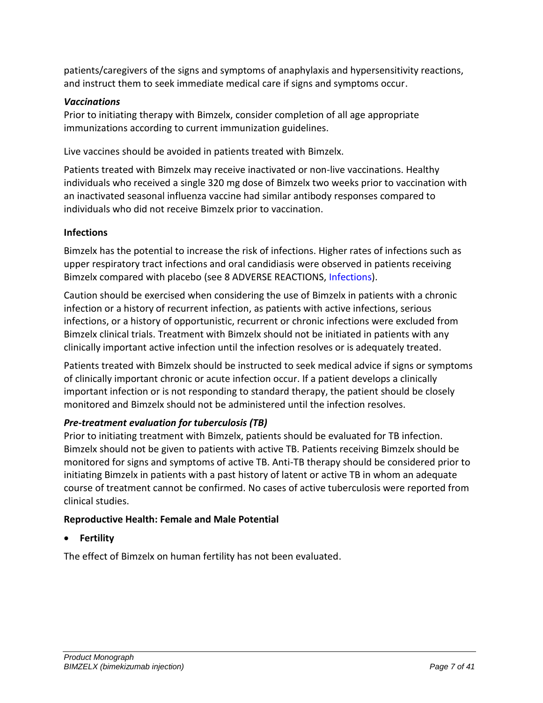patients/caregivers of the signs and symptoms of anaphylaxis and hypersensitivity reactions, and instruct them to seek immediate medical care if signs and symptoms occur.

# *Vaccinations*

Prior to initiating therapy with Bimzelx, consider completion of all age appropriate immunizations according to current immunization guidelines.

Live vaccines should be avoided in patients treated with Bimzelx.

Patients treated with Bimzelx may receive inactivated or non-live vaccinations. Healthy individuals who received a single 320 mg dose of Bimzelx two weeks prior to vaccination with an inactivated seasonal influenza vaccine had similar antibody responses compared to individuals who did not receive Bimzelx prior to vaccination.

# **Infections**

Bimzelx has the potential to increase the risk of infections. Higher rates of infections such as upper respiratory tract infections and oral candidiasis were observed in patients receiving Bimzelx compared with placebo (see 8 ADVERSE REACTIONS, [Infections](#page-9-0)).

Caution should be exercised when considering the use of Bimzelx in patients with a chronic infection or a history of recurrent infection, as patients with active infections, serious infections, or a history of opportunistic, recurrent or chronic infections were excluded from Bimzelx clinical trials. Treatment with Bimzelx should not be initiated in patients with any clinically important active infection until the infection resolves or is adequately treated.

Patients treated with Bimzelx should be instructed to seek medical advice if signs or symptoms of clinically important chronic or acute infection occur. If a patient develops a clinically important infection or is not responding to standard therapy, the patient should be closely monitored and Bimzelx should not be administered until the infection resolves.

# *Pre-treatment evaluation for tuberculosis (TB)*

Prior to initiating treatment with Bimzelx, patients should be evaluated for TB infection. Bimzelx should not be given to patients with active TB. Patients receiving Bimzelx should be monitored for signs and symptoms of active TB. Anti-TB therapy should be considered prior to initiating Bimzelx in patients with a past history of latent or active TB in whom an adequate course of treatment cannot be confirmed. No cases of active tuberculosis were reported from clinical studies.

# **Reproductive Health: Female and Male Potential**

• **Fertility**

The effect of Bimzelx on human fertility has not been evaluated.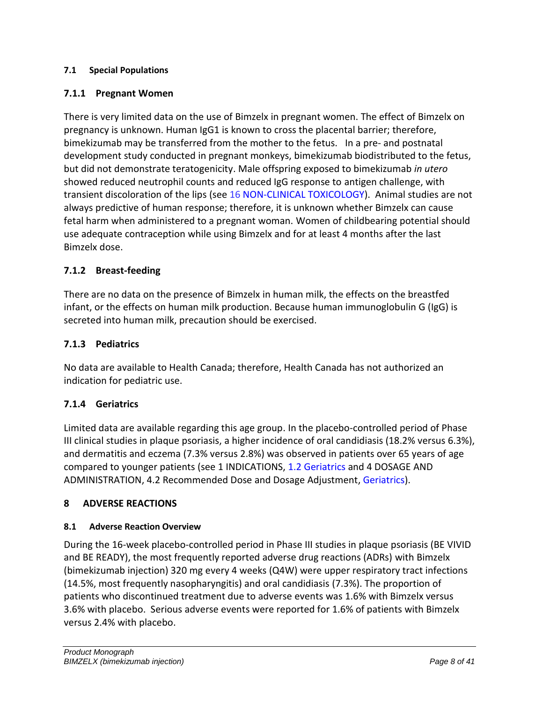#### <span id="page-7-0"></span>**7.1 Special Populations**

# <span id="page-7-1"></span>**7.1.1 Pregnant Women**

There is very limited data on the use of Bimzelx in pregnant women. The effect of Bimzelx on pregnancy is unknown. Human IgG1 is known to cross the placental barrier; therefore, bimekizumab may be transferred from the mother to the fetus. In a pre- and postnatal development study conducted in pregnant monkeys, bimekizumab biodistributed to the fetus, but did not demonstrate teratogenicity. Male offspring exposed to bimekizumab *in utero*  showed reduced neutrophil counts and reduced IgG response to antigen challenge, with transient discoloration of the lips (see 16 [NON-CLINICAL TOXICOLOGY](#page-21-0)). Animal studies are not always predictive of human response; therefore, it is unknown whether Bimzelx can cause fetal harm when administered to a pregnant woman. Women of childbearing potential should use adequate contraception while using Bimzelx and for at least 4 months after the last Bimzelx dose.

# <span id="page-7-2"></span>**7.1.2 Breast-feeding**

There are no data on the presence of Bimzelx in human milk, the effects on the breastfed infant, or the effects on human milk production. Because human immunoglobulin G (IgG) is secreted into human milk, precaution should be exercised.

# <span id="page-7-3"></span>**7.1.3 Pediatrics**

No data are available to Health Canada; therefore, Health Canada has not authorized an indication for pediatric use.

# <span id="page-7-4"></span>**7.1.4 Geriatrics**

Limited data are available regarding this age group. In the placebo-controlled period of Phase III clinical studies in plaque psoriasis, a higher incidence of oral candidiasis (18.2% versus 6.3%), and dermatitis and eczema (7.3% versus 2.8%) was observed in patients over 65 years of age compared to younger patients (see 1 INDICATIONS, [1.2](#page-3-3) [Geriatrics](#page-3-3) and 4 DOSAGE AND ADMINISTRATION, 4.2 Recommended Dose and Dosage Adjustment, [Geriatrics\)](#page-4-4).

#### <span id="page-7-5"></span>**8 ADVERSE REACTIONS**

#### <span id="page-7-6"></span>**8.1 Adverse Reaction Overview**

During the 16-week placebo-controlled period in Phase III studies in plaque psoriasis (BE VIVID and BE READY), the most frequently reported adverse drug reactions (ADRs) with Bimzelx (bimekizumab injection) 320 mg every 4 weeks (Q4W) were upper respiratory tract infections (14.5%, most frequently nasopharyngitis) and oral candidiasis (7.3%). The proportion of patients who discontinued treatment due to adverse events was 1.6% with Bimzelx versus 3.6% with placebo. Serious adverse events were reported for 1.6% of patients with Bimzelx versus 2.4% with placebo.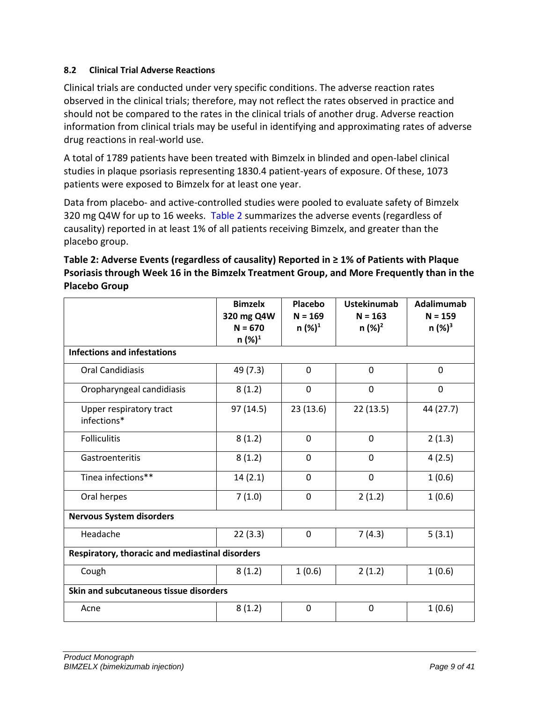#### <span id="page-8-0"></span>**8.2 Clinical Trial Adverse Reactions**

Clinical trials are conducted under very specific conditions. The adverse reaction rates observed in the clinical trials; therefore, may not reflect the rates observed in practice and should not be compared to the rates in the clinical trials of another drug. Adverse reaction information from clinical trials may be useful in identifying and approximating rates of adverse drug reactions in real-world use.

A total of 1789 patients have been treated with Bimzelx in blinded and open-label clinical studies in plaque psoriasis representing 1830.4 patient-years of exposure. Of these, 1073 patients were exposed to Bimzelx for at least one year.

Data from placebo- and active-controlled studies were pooled to evaluate safety of Bimzelx 320 mg Q4W for up to 16 weeks. [Table 2](#page-8-1) summarizes the adverse events (regardless of causality) reported in at least 1% of all patients receiving Bimzelx, and greater than the placebo group.

<span id="page-8-1"></span>

| Table 2: Adverse Events (regardless of causality) Reported in $\geq 1\%$ of Patients with Plaque |
|--------------------------------------------------------------------------------------------------|
| Psoriasis through Week 16 in the Bimzelx Treatment Group, and More Frequently than in the        |
| <b>Placebo Group</b>                                                                             |

|                                                 | <b>Bimzelx</b><br>320 mg Q4W | Placebo<br>$N = 169$ | <b>Ustekinumab</b><br>$N = 163$ | Adalimumab<br>$N = 159$ |  |  |
|-------------------------------------------------|------------------------------|----------------------|---------------------------------|-------------------------|--|--|
|                                                 | $N = 670$                    | $n (%)^1$            | $n (%)^2$                       | $n (%)^3$               |  |  |
|                                                 | $n (%)^1$                    |                      |                                 |                         |  |  |
| <b>Infections and infestations</b>              |                              |                      |                                 |                         |  |  |
| <b>Oral Candidiasis</b>                         | 49 (7.3)                     | $\mathbf 0$          | 0                               | $\overline{0}$          |  |  |
| Oropharyngeal candidiasis                       | 8(1.2)                       | $\mathbf 0$          | 0                               | 0                       |  |  |
| Upper respiratory tract<br>infections*          | 97(14.5)                     | 23 (13.6)            | 22(13.5)                        | 44 (27.7)               |  |  |
| <b>Folliculitis</b>                             | 8(1.2)                       | $\mathbf 0$          | 0                               | 2(1.3)                  |  |  |
| Gastroenteritis                                 | 8(1.2)                       | $\mathbf 0$          | 0                               | 4(2.5)                  |  |  |
| Tinea infections**                              | 14(2.1)                      | $\mathbf 0$          | 0                               | 1(0.6)                  |  |  |
| Oral herpes                                     | 7(1.0)                       | 0                    | 2(1.2)                          | 1(0.6)                  |  |  |
| <b>Nervous System disorders</b>                 |                              |                      |                                 |                         |  |  |
| Headache                                        | 22(3.3)                      | $\mathbf 0$          | 7(4.3)                          | 5(3.1)                  |  |  |
| Respiratory, thoracic and mediastinal disorders |                              |                      |                                 |                         |  |  |
| Cough                                           | 8(1.2)                       | 1(0.6)               | 2(1.2)                          | 1(0.6)                  |  |  |
| Skin and subcutaneous tissue disorders          |                              |                      |                                 |                         |  |  |
| Acne                                            | 8(1.2)                       | $\mathbf{0}$         | 0                               | 1(0.6)                  |  |  |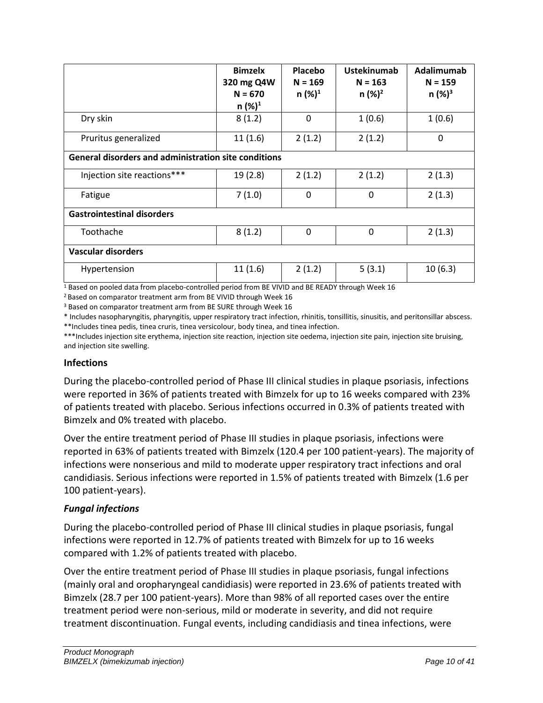|                                                             | <b>Bimzelx</b><br>320 mg Q4W<br>$N = 670$<br>$n (%)^1$ | Placebo<br>$N = 169$<br>$n (%)^1$ | <b>Ustekinumab</b><br>$N = 163$<br>$n (%)^2$ | Adalimumab<br>$N = 159$<br>$n (%)^3$ |
|-------------------------------------------------------------|--------------------------------------------------------|-----------------------------------|----------------------------------------------|--------------------------------------|
| Dry skin                                                    | 8(1.2)                                                 | 0                                 | 1(0.6)                                       | 1(0.6)                               |
| Pruritus generalized                                        | 11(1.6)                                                | 2(1.2)                            | 2(1.2)                                       | $\mathbf{0}$                         |
| <b>General disorders and administration site conditions</b> |                                                        |                                   |                                              |                                      |
| Injection site reactions***                                 | 19(2.8)                                                | 2(1.2)                            | 2(1.2)                                       | 2(1.3)                               |
| Fatigue                                                     | 7(1.0)                                                 | 0                                 | 0                                            | 2(1.3)                               |
| <b>Gastrointestinal disorders</b>                           |                                                        |                                   |                                              |                                      |
| Toothache                                                   | 8(1.2)                                                 | $\mathbf{0}$                      | 0                                            | 2(1.3)                               |
| <b>Vascular disorders</b>                                   |                                                        |                                   |                                              |                                      |
| Hypertension                                                | 11(1.6)                                                | 2(1.2)                            | 5(3.1)                                       | 10(6.3)                              |

<sup>1</sup> Based on pooled data from placebo-controlled period from BE VIVID and BE READY through Week 16

<sup>2</sup> Based on comparator treatment arm from BE VIVID through Week 16

<sup>3</sup> Based on comparator treatment arm from BE SURE through Week 16

\* Includes nasopharyngitis, pharyngitis, upper respiratory tract infection, rhinitis, tonsillitis, sinusitis, and peritonsillar abscess. \*\*Includes tinea pedis, tinea cruris, tinea versicolour, body tinea, and tinea infection.

\*\*\*Includes injection site erythema, injection site reaction, injection site oedema, injection site pain, injection site bruising, and injection site swelling.

#### <span id="page-9-0"></span>**Infections**

During the placebo-controlled period of Phase III clinical studies in plaque psoriasis, infections were reported in 36% of patients treated with Bimzelx for up to 16 weeks compared with 23% of patients treated with placebo. Serious infections occurred in 0.3% of patients treated with Bimzelx and 0% treated with placebo.

Over the entire treatment period of Phase III studies in plaque psoriasis, infections were reported in 63% of patients treated with Bimzelx (120.4 per 100 patient-years). The majority of infections were nonserious and mild to moderate upper respiratory tract infections and oral candidiasis. Serious infections were reported in 1.5% of patients treated with Bimzelx (1.6 per 100 patient-years).

#### *Fungal infections*

During the placebo-controlled period of Phase III clinical studies in plaque psoriasis, fungal infections were reported in 12.7% of patients treated with Bimzelx for up to 16 weeks compared with 1.2% of patients treated with placebo.

Over the entire treatment period of Phase III studies in plaque psoriasis, fungal infections (mainly oral and oropharyngeal candidiasis) were reported in 23.6% of patients treated with Bimzelx (28.7 per 100 patient-years). More than 98% of all reported cases over the entire treatment period were non-serious, mild or moderate in severity, and did not require treatment discontinuation. Fungal events, including candidiasis and tinea infections, were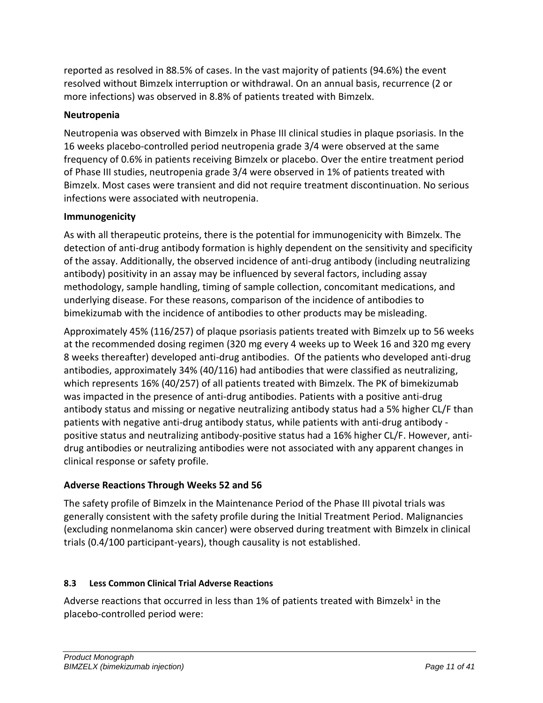reported as resolved in 88.5% of cases. In the vast majority of patients (94.6%) the event resolved without Bimzelx interruption or withdrawal. On an annual basis, recurrence (2 or more infections) was observed in 8.8% of patients treated with Bimzelx.

# **Neutropenia**

Neutropenia was observed with Bimzelx in Phase III clinical studies in plaque psoriasis. In the 16 weeks placebo-controlled period neutropenia grade 3/4 were observed at the same frequency of 0.6% in patients receiving Bimzelx or placebo. Over the entire treatment period of Phase III studies, neutropenia grade 3/4 were observed in 1% of patients treated with Bimzelx. Most cases were transient and did not require treatment discontinuation. No serious infections were associated with neutropenia.

# **Immunogenicity**

As with all therapeutic proteins, there is the potential for immunogenicity with Bimzelx. The detection of anti-drug antibody formation is highly dependent on the sensitivity and specificity of the assay. Additionally, the observed incidence of anti-drug antibody (including neutralizing antibody) positivity in an assay may be influenced by several factors, including assay methodology, sample handling, timing of sample collection, concomitant medications, and underlying disease. For these reasons, comparison of the incidence of antibodies to bimekizumab with the incidence of antibodies to other products may be misleading.

Approximately 45% (116/257) of plaque psoriasis patients treated with Bimzelx up to 56 weeks at the recommended dosing regimen (320 mg every 4 weeks up to Week 16 and 320 mg every 8 weeks thereafter) developed anti-drug antibodies. Of the patients who developed anti-drug antibodies, approximately 34% (40/116) had antibodies that were classified as neutralizing, which represents 16% (40/257) of all patients treated with Bimzelx. The PK of bimekizumab was impacted in the presence of anti-drug antibodies. Patients with a positive anti-drug antibody status and missing or negative neutralizing antibody status had a 5% higher CL/F than patients with negative anti-drug antibody status, while patients with anti-drug antibody positive status and neutralizing antibody-positive status had a 16% higher CL/F. However, antidrug antibodies or neutralizing antibodies were not associated with any apparent changes in clinical response or safety profile.

# **Adverse Reactions Through Weeks 52 and 56**

The safety profile of Bimzelx in the Maintenance Period of the Phase III pivotal trials was generally consistent with the safety profile during the Initial Treatment Period. Malignancies (excluding nonmelanoma skin cancer) were observed during treatment with Bimzelx in clinical trials (0.4/100 participant-years), though causality is not established.

# <span id="page-10-0"></span>**8.3 Less Common Clinical Trial Adverse Reactions**

Adverse reactions that occurred in less than 1% of patients treated with Bimzelx<sup>1</sup> in the placebo-controlled period were: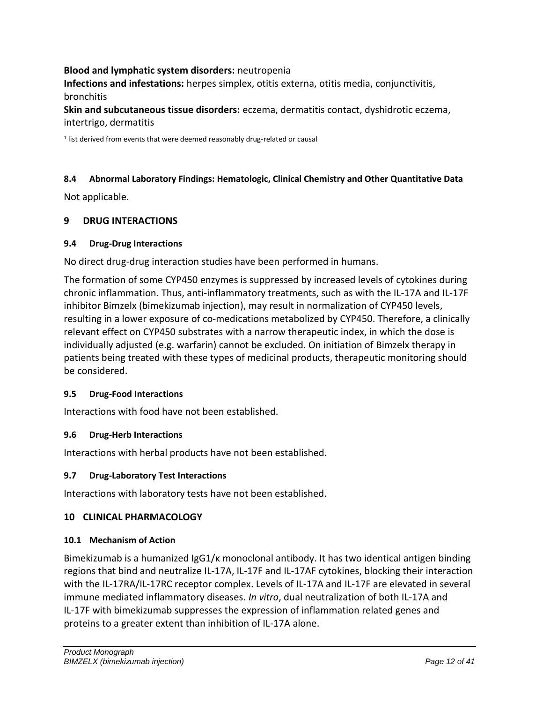#### **Blood and lymphatic system disorders:** neutropenia

**Infections and infestations:** herpes simplex, otitis externa, otitis media, conjunctivitis, bronchitis

**Skin and subcutaneous tissue disorders:** eczema, dermatitis contact, dyshidrotic eczema, intertrigo, dermatitis

<sup>1</sup> list derived from events that were deemed reasonably drug-related or causal

#### <span id="page-11-0"></span>**8.4 Abnormal Laboratory Findings: Hematologic, Clinical Chemistry and Other Quantitative Data**

Not applicable.

#### <span id="page-11-1"></span>**9 DRUG INTERACTIONS**

#### <span id="page-11-2"></span>**9.4 Drug-Drug Interactions**

No direct drug-drug interaction studies have been performed in humans.

The formation of some CYP450 enzymes is suppressed by increased levels of cytokines during chronic inflammation. Thus, anti-inflammatory treatments, such as with the IL-17A and IL-17F inhibitor Bimzelx (bimekizumab injection), may result in normalization of CYP450 levels, resulting in a lower exposure of co-medications metabolized by CYP450. Therefore, a clinically relevant effect on CYP450 substrates with a narrow therapeutic index, in which the dose is individually adjusted (e.g. warfarin) cannot be excluded. On initiation of Bimzelx therapy in patients being treated with these types of medicinal products, therapeutic monitoring should be considered.

#### <span id="page-11-3"></span>**9.5 Drug-Food Interactions**

Interactions with food have not been established.

#### <span id="page-11-4"></span>**9.6 Drug-Herb Interactions**

Interactions with herbal products have not been established.

#### <span id="page-11-5"></span>**9.7 Drug-Laboratory Test Interactions**

Interactions with laboratory tests have not been established.

#### <span id="page-11-6"></span>**10 CLINICAL PHARMACOLOGY**

#### <span id="page-11-7"></span>**10.1 Mechanism of Action**

Bimekizumab is a humanized IgG1/κ monoclonal antibody. It has two identical antigen binding regions that bind and neutralize IL-17A, IL-17F and IL-17AF cytokines, blocking their interaction with the IL-17RA/IL-17RC receptor complex. Levels of IL-17A and IL-17F are elevated in several immune mediated inflammatory diseases. *In vitro*, dual neutralization of both IL-17A and IL-17F with bimekizumab suppresses the expression of inflammation related genes and proteins to a greater extent than inhibition of IL-17A alone.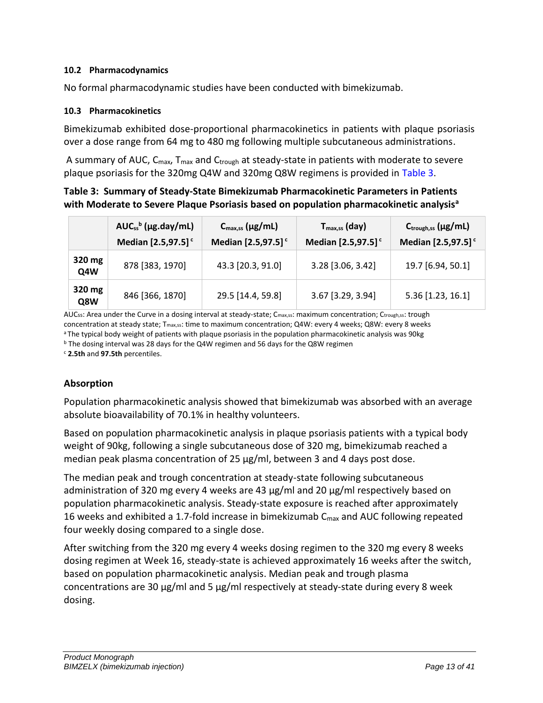#### <span id="page-12-0"></span>**10.2 Pharmacodynamics**

No formal pharmacodynamic studies have been conducted with bimekizumab.

#### <span id="page-12-1"></span>**10.3 Pharmacokinetics**

Bimekizumab exhibited dose-proportional pharmacokinetics in patients with plaque psoriasis over a dose range from 64 mg to 480 mg following multiple subcutaneous administrations.

A summary of AUC,  $C_{\text{max}}$ ,  $T_{\text{max}}$  and  $C_{\text{trough}}$  at steady-state in patients with moderate to severe plaque psoriasis for the 320mg Q4W and 320mg Q8W regimens is provided in [Table 3.](#page-12-2)

# <span id="page-12-2"></span>**Table 3: Summary of Steady-State Bimekizumab Pharmacokinetic Parameters in Patients with Moderate to Severe Plaque Psoriasis based on population pharmacokinetic analysis<sup>a</sup>**

|               | $AUC_{ss}^{b}$ (µg.day/mL)<br>Median [2.5,97.5] <sup>c</sup> | $C_{\text{max,ss}}$ (µg/mL)<br>Median [2.5,97.5] <sup>c</sup> | $T_{\text{max,ss}}$ (day)<br>Median [2.5,97.5] <sup>c</sup> | $C_{\text{trough,ss}}(\mu g/mL)$<br>Median [2.5,97.5] <sup>c</sup> |
|---------------|--------------------------------------------------------------|---------------------------------------------------------------|-------------------------------------------------------------|--------------------------------------------------------------------|
| 320 mg<br>Q4W | 878 [383, 1970]                                              | 43.3 [20.3, 91.0]                                             | 3.28 [3.06, 3.42]                                           | 19.7 [6.94, 50.1]                                                  |
| 320 mg<br>Q8W | 846 [366, 1870]                                              | 29.5 [14.4, 59.8]                                             | 3.67 [3.29, 3.94]                                           | 5.36 [1.23, 16.1]                                                  |

AUCss: Area under the Curve in a dosing interval at steady-state; Cmax,ss: maximum concentration; Ctrough,ss: trough concentration at steady state; Tmax,ss: time to maximum concentration; Q4W: every 4 weeks; Q8W: every 8 weeks aThe typical body weight of patients with plaque psoriasis in the population pharmacokinetic analysis was 90kg

<sup>b</sup> The dosing interval was 28 days for the Q4W regimen and 56 days for the Q8W regimen

<sup>c</sup> **2.5th** and **97.5th** percentiles.

# **Absorption**

Population pharmacokinetic analysis showed that bimekizumab was absorbed with an average absolute bioavailability of 70.1% in healthy volunteers.

Based on population pharmacokinetic analysis in plaque psoriasis patients with a typical body weight of 90kg, following a single subcutaneous dose of 320 mg, bimekizumab reached a median peak plasma concentration of 25 μg/ml, between 3 and 4 days post dose.

The median peak and trough concentration at steady-state following subcutaneous administration of 320 mg every 4 weeks are 43 µg/ml and 20 µg/ml respectively based on population pharmacokinetic analysis. Steady-state exposure is reached after approximately 16 weeks and exhibited a 1.7-fold increase in bimekizumab  $C_{\text{max}}$  and AUC following repeated four weekly dosing compared to a single dose.

After switching from the 320 mg every 4 weeks dosing regimen to the 320 mg every 8 weeks dosing regimen at Week 16, steady-state is achieved approximately 16 weeks after the switch, based on population pharmacokinetic analysis. Median peak and trough plasma concentrations are 30 μg/ml and 5 μg/ml respectively at steady-state during every 8 week dosing.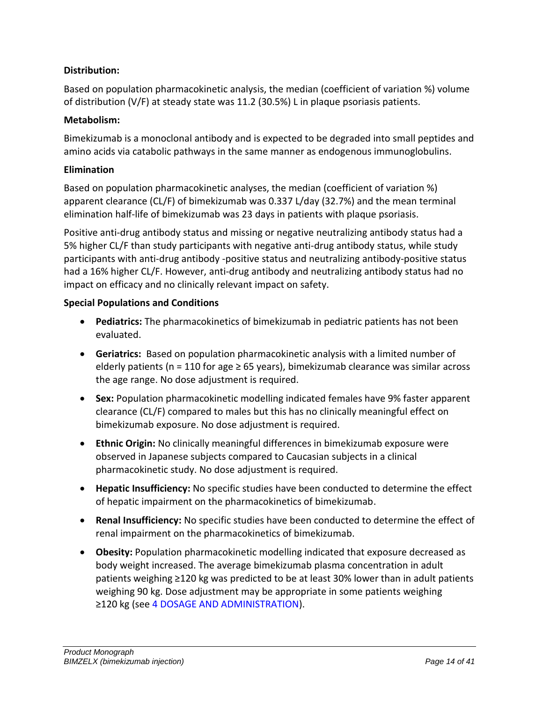# **Distribution:**

Based on population pharmacokinetic analysis, the median (coefficient of variation %) volume of distribution (V/F) at steady state was 11.2 (30.5%) L in plaque psoriasis patients.

# **Metabolism:**

Bimekizumab is a monoclonal antibody and is expected to be degraded into small peptides and amino acids via catabolic pathways in the same manner as endogenous immunoglobulins.

#### **Elimination**

Based on population pharmacokinetic analyses, the median (coefficient of variation %) apparent clearance (CL/F) of bimekizumab was 0.337 L/day (32.7%) and the mean terminal elimination half-life of bimekizumab was 23 days in patients with plaque psoriasis.

Positive anti-drug antibody status and missing or negative neutralizing antibody status had a 5% higher CL/F than study participants with negative anti-drug antibody status, while study participants with anti-drug antibody -positive status and neutralizing antibody-positive status had a 16% higher CL/F. However, anti-drug antibody and neutralizing antibody status had no impact on efficacy and no clinically relevant impact on safety.

#### **Special Populations and Conditions**

- **Pediatrics:** The pharmacokinetics of bimekizumab in pediatric patients has not been evaluated.
- <span id="page-13-1"></span>• **Geriatrics:** Based on population pharmacokinetic analysis with a limited number of elderly patients (n = 110 for age  $\geq$  65 years), bimekizumab clearance was similar across the age range. No dose adjustment is required.
- **Sex:** Population pharmacokinetic modelling indicated females have 9% faster apparent clearance (CL/F) compared to males but this has no clinically meaningful effect on bimekizumab exposure. No dose adjustment is required.
- **Ethnic Origin:** No clinically meaningful differences in bimekizumab exposure were observed in Japanese subjects compared to Caucasian subjects in a clinical pharmacokinetic study. No dose adjustment is required.
- <span id="page-13-2"></span>• **Hepatic Insufficiency:** No specific studies have been conducted to determine the effect of hepatic impairment on the pharmacokinetics of bimekizumab.
- <span id="page-13-3"></span>• **Renal Insufficiency:** No specific studies have been conducted to determine the effect of renal impairment on the pharmacokinetics of bimekizumab.
- <span id="page-13-0"></span>• **Obesity:** Population pharmacokinetic modelling indicated that exposure decreased as body weight increased. The average bimekizumab plasma concentration in adult patients weighing ≥120 kg was predicted to be at least 30% lower than in adult patients weighing 90 kg. Dose adjustment may be appropriate in some patients weighing ≥120 kg (see [4](#page-3-5) [DOSAGE AND ADMINISTRATION](#page-3-5)).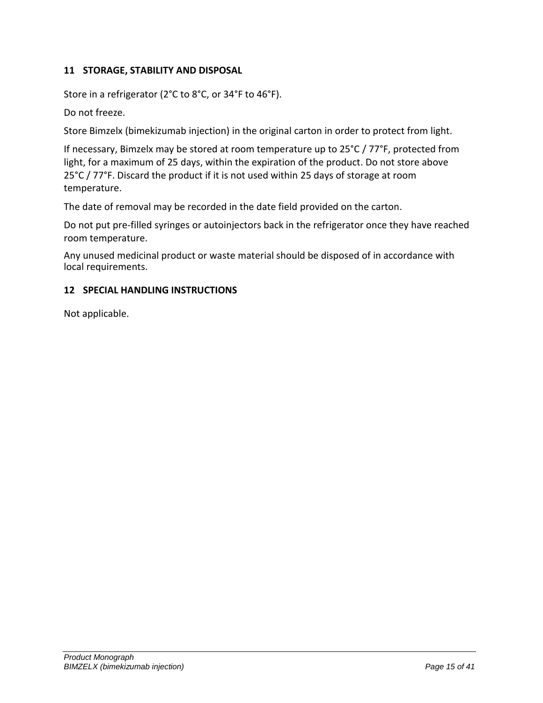# <span id="page-14-0"></span>**11 STORAGE, STABILITY AND DISPOSAL**

Store in a refrigerator (2°C to 8°C, or 34°F to 46°F).

Do not freeze.

Store Bimzelx (bimekizumab injection) in the original carton in order to protect from light.

If necessary, Bimzelx may be stored at room temperature up to 25°C / 77°F, protected from light, for a maximum of 25 days, within the expiration of the product. Do not store above 25°C / 77°F. Discard the product if it is not used within 25 days of storage at room temperature.

The date of removal may be recorded in the date field provided on the carton.

Do not put pre-filled syringes or autoinjectors back in the refrigerator once they have reached room temperature.

Any unused medicinal product or waste material should be disposed of in accordance with local requirements.

#### <span id="page-14-1"></span>**12 SPECIAL HANDLING INSTRUCTIONS**

Not applicable.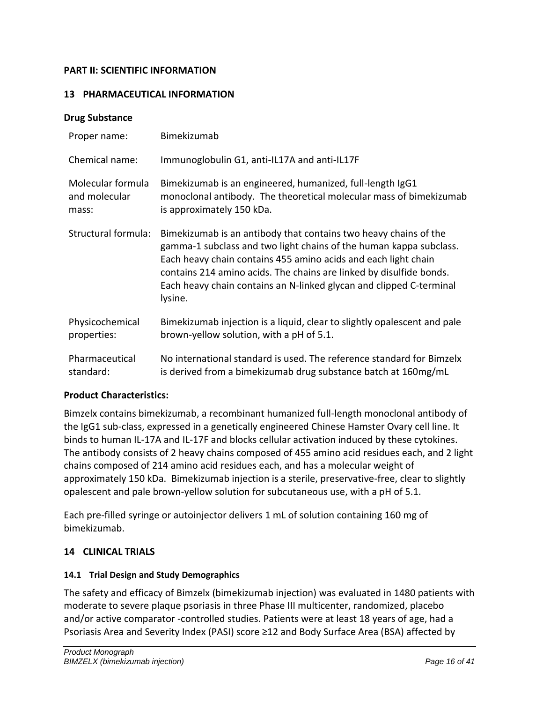# <span id="page-15-0"></span>**PART II: SCIENTIFIC INFORMATION**

#### <span id="page-15-1"></span>**13 PHARMACEUTICAL INFORMATION**

#### **Drug Substance**

| Proper name:        | Bimekizumab                                                                                                                                                                                                                                                                                                                                                       |
|---------------------|-------------------------------------------------------------------------------------------------------------------------------------------------------------------------------------------------------------------------------------------------------------------------------------------------------------------------------------------------------------------|
| Chemical name:      | Immunoglobulin G1, anti-IL17A and anti-IL17F                                                                                                                                                                                                                                                                                                                      |
| Molecular formula   | Bimekizumab is an engineered, humanized, full-length IgG1                                                                                                                                                                                                                                                                                                         |
| and molecular       | monoclonal antibody. The theoretical molecular mass of bimekizumab                                                                                                                                                                                                                                                                                                |
| mass:               | is approximately 150 kDa.                                                                                                                                                                                                                                                                                                                                         |
| Structural formula: | Bimekizumab is an antibody that contains two heavy chains of the<br>gamma-1 subclass and two light chains of the human kappa subclass.<br>Each heavy chain contains 455 amino acids and each light chain<br>contains 214 amino acids. The chains are linked by disulfide bonds.<br>Each heavy chain contains an N-linked glycan and clipped C-terminal<br>lysine. |
| Physicochemical     | Bimekizumab injection is a liquid, clear to slightly opalescent and pale                                                                                                                                                                                                                                                                                          |
| properties:         | brown-yellow solution, with a pH of 5.1.                                                                                                                                                                                                                                                                                                                          |
| Pharmaceutical      | No international standard is used. The reference standard for Bimzelx                                                                                                                                                                                                                                                                                             |
| standard:           | is derived from a bimekizumab drug substance batch at 160mg/mL                                                                                                                                                                                                                                                                                                    |

#### **Product Characteristics:**

Bimzelx contains bimekizumab, a recombinant humanized full-length monoclonal antibody of the IgG1 sub-class, expressed in a genetically engineered Chinese Hamster Ovary cell line. It binds to human IL-17A and IL-17F and blocks cellular activation induced by these cytokines. The antibody consists of 2 heavy chains composed of 455 amino acid residues each, and 2 light chains composed of 214 amino acid residues each, and has a molecular weight of approximately 150 kDa. Bimekizumab injection is a sterile, preservative-free, clear to slightly opalescent and pale brown-yellow solution for subcutaneous use, with a pH of 5.1.

Each pre-filled syringe or autoinjector delivers 1 mL of solution containing 160 mg of bimekizumab.

#### <span id="page-15-2"></span>**14 CLINICAL TRIALS**

#### <span id="page-15-3"></span>**14.1 Trial Design and Study Demographics**

The safety and efficacy of Bimzelx (bimekizumab injection) was evaluated in 1480 patients with moderate to severe plaque psoriasis in three Phase III multicenter, randomized, placebo and/or active comparator -controlled studies. Patients were at least 18 years of age, had a Psoriasis Area and Severity Index (PASI) score ≥12 and Body Surface Area (BSA) affected by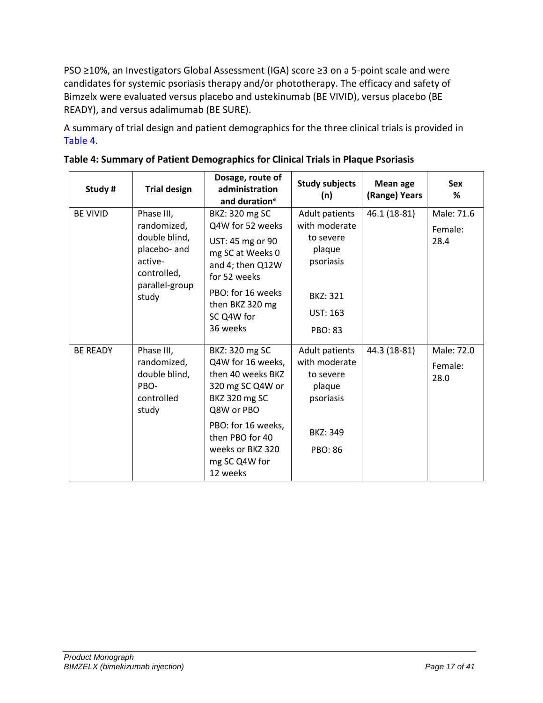PSO ≥10%, an Investigators Global Assessment (IGA) score ≥3 on a 5-point scale and were candidates for systemic psoriasis therapy and/or phototherapy. The efficacy and safety of Bimzelx were evaluated versus placebo and ustekinumab (BE VIVID), versus placebo (BE READY), and versus adalimumab (BE SURE).

A summary of trial design and patient demographics for the three clinical trials is provided in [Table 4.](#page-16-0)

| Study #         | <b>Trial design</b>                                                                                             | Dosage, route of<br>administration<br>and duration <sup>a</sup>                                                                     | <b>Study subjects</b><br>(n)                                                           | <b>Mean age</b><br>(Range) Years | <b>Sex</b><br>%               |
|-----------------|-----------------------------------------------------------------------------------------------------------------|-------------------------------------------------------------------------------------------------------------------------------------|----------------------------------------------------------------------------------------|----------------------------------|-------------------------------|
| <b>BE VIVID</b> | Phase III,<br>randomized,<br>double blind,<br>placebo- and<br>active-<br>controlled,<br>parallel-group<br>study | BKZ: 320 mg SC<br>Q4W for 52 weeks<br>UST: 45 mg or 90<br>mg SC at Weeks 0<br>and 4; then Q12W<br>for 52 weeks<br>PBO: for 16 weeks | Adult patients<br>with moderate<br>to severe<br>plaque<br>psoriasis<br><b>BKZ: 321</b> | 46.1 (18-81)                     | Male: 71.6<br>Female:<br>28.4 |
|                 |                                                                                                                 | then BKZ 320 mg<br>SC Q4W for<br>36 weeks                                                                                           | <b>UST: 163</b><br><b>PBO: 83</b>                                                      |                                  |                               |
| <b>BE READY</b> | Phase III,<br>randomized,<br>double blind,<br>PBO-<br>controlled<br>study                                       | BKZ: 320 mg SC<br>Q4W for 16 weeks,<br>then 40 weeks BKZ<br>320 mg SC Q4W or<br><b>BKZ 320 mg SC</b><br>Q8W or PBO                  | Adult patients<br>with moderate<br>to severe<br>plaque<br>psoriasis                    | 44.3 (18-81)                     | Male: 72.0<br>Female:<br>28.0 |
|                 |                                                                                                                 | PBO: for 16 weeks,<br>then PBO for 40<br>weeks or BKZ 320<br>mg SC Q4W for<br>12 weeks                                              | <b>BKZ: 349</b><br><b>PBO: 86</b>                                                      |                                  |                               |

<span id="page-16-0"></span>

| Table 4: Summary of Patient Demographics for Clinical Trials in Plaque Psoriasis |  |  |
|----------------------------------------------------------------------------------|--|--|
|                                                                                  |  |  |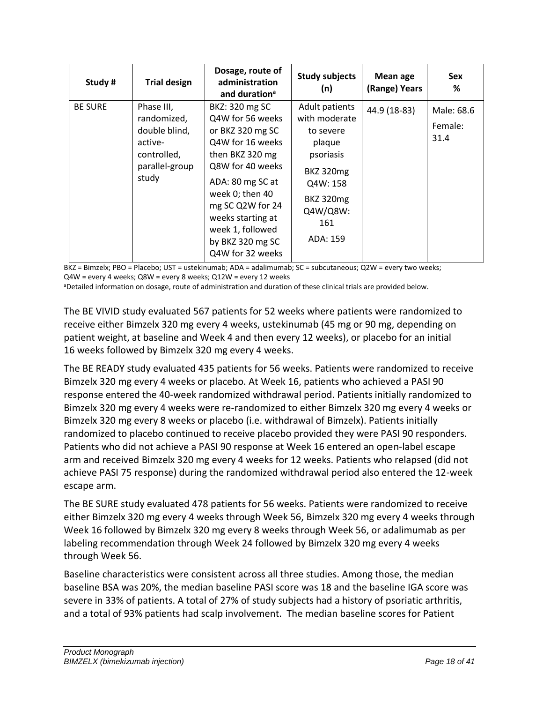| Study #        | <b>Trial design</b>                                                                             | Dosage, route of<br>administration<br>and duration <sup>a</sup>                                                                                                                                                                                               | <b>Study subjects</b><br>(n)                                                                                                                           | Mean age<br>(Range) Years | Sex<br>%                      |
|----------------|-------------------------------------------------------------------------------------------------|---------------------------------------------------------------------------------------------------------------------------------------------------------------------------------------------------------------------------------------------------------------|--------------------------------------------------------------------------------------------------------------------------------------------------------|---------------------------|-------------------------------|
| <b>BE SURE</b> | Phase III,<br>randomized,<br>double blind,<br>active-<br>controlled,<br>parallel-group<br>study | BKZ: 320 mg SC<br>Q4W for 56 weeks<br>or BKZ 320 mg SC<br>Q4W for 16 weeks<br>then BKZ 320 mg<br>Q8W for 40 weeks<br>ADA: 80 mg SC at<br>week 0; then 40<br>mg SC Q2W for 24<br>weeks starting at<br>week 1, followed<br>by BKZ 320 mg SC<br>Q4W for 32 weeks | Adult patients<br>with moderate<br>to severe<br>plaque<br>psoriasis<br><b>BKZ 320mg</b><br>Q4W: 158<br><b>BKZ 320mg</b><br>Q4W/Q8W:<br>161<br>ADA: 159 | 44.9 (18-83)              | Male: 68.6<br>Female:<br>31.4 |

BKZ = Bimzelx; PBO = Placebo; UST = ustekinumab; ADA = adalimumab; SC = subcutaneous; Q2W = every two weeks; Q4W = every 4 weeks; Q8W = every 8 weeks; Q12W = every 12 weeks

aDetailed information on dosage, route of administration and duration of these clinical trials are provided below.

The BE VIVID study evaluated 567 patients for 52 weeks where patients were randomized to receive either Bimzelx 320 mg every 4 weeks, ustekinumab (45 mg or 90 mg, depending on patient weight, at baseline and Week 4 and then every 12 weeks), or placebo for an initial 16 weeks followed by Bimzelx 320 mg every 4 weeks.

The BE READY study evaluated 435 patients for 56 weeks. Patients were randomized to receive Bimzelx 320 mg every 4 weeks or placebo. At Week 16, patients who achieved a PASI 90 response entered the 40-week randomized withdrawal period. Patients initially randomized to Bimzelx 320 mg every 4 weeks were re-randomized to either Bimzelx 320 mg every 4 weeks or Bimzelx 320 mg every 8 weeks or placebo (i.e. withdrawal of Bimzelx). Patients initially randomized to placebo continued to receive placebo provided they were PASI 90 responders. Patients who did not achieve a PASI 90 response at Week 16 entered an open-label escape arm and received Bimzelx 320 mg every 4 weeks for 12 weeks. Patients who relapsed (did not achieve PASI 75 response) during the randomized withdrawal period also entered the 12-week escape arm.

The BE SURE study evaluated 478 patients for 56 weeks. Patients were randomized to receive either Bimzelx 320 mg every 4 weeks through Week 56, Bimzelx 320 mg every 4 weeks through Week 16 followed by Bimzelx 320 mg every 8 weeks through Week 56, or adalimumab as per labeling recommendation through Week 24 followed by Bimzelx 320 mg every 4 weeks through Week 56.

Baseline characteristics were consistent across all three studies. Among those, the median baseline BSA was 20%, the median baseline PASI score was 18 and the baseline IGA score was severe in 33% of patients. A total of 27% of study subjects had a history of psoriatic arthritis, and a total of 93% patients had scalp involvement. The median baseline scores for Patient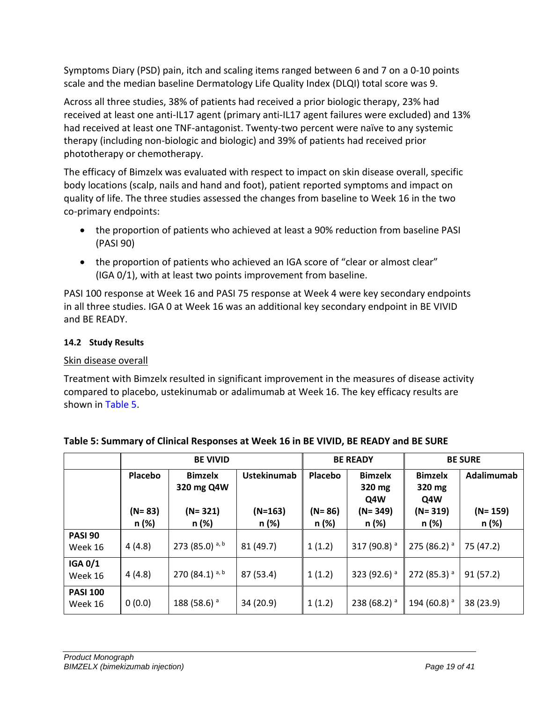Symptoms Diary (PSD) pain, itch and scaling items ranged between 6 and 7 on a 0-10 points scale and the median baseline Dermatology Life Quality Index (DLQI) total score was 9.

Across all three studies, 38% of patients had received a prior biologic therapy, 23% had received at least one anti-IL17 agent (primary anti-IL17 agent failures were excluded) and 13% had received at least one TNF-antagonist. Twenty-two percent were naïve to any systemic therapy (including non-biologic and biologic) and 39% of patients had received prior phototherapy or chemotherapy.

The efficacy of Bimzelx was evaluated with respect to impact on skin disease overall, specific body locations (scalp, nails and hand and foot), patient reported symptoms and impact on quality of life. The three studies assessed the changes from baseline to Week 16 in the two co-primary endpoints:

- the proportion of patients who achieved at least a 90% reduction from baseline PASI (PASI 90)
- the proportion of patients who achieved an IGA score of "clear or almost clear" (IGA 0/1), with at least two points improvement from baseline.

PASI 100 response at Week 16 and PASI 75 response at Week 4 were key secondary endpoints in all three studies. IGA 0 at Week 16 was an additional key secondary endpoint in BE VIVID and BE READY.

# <span id="page-18-0"></span>**14.2 Study Results**

# Skin disease overall

Treatment with Bimzelx resulted in significant improvement in the measures of disease activity compared to placebo, ustekinumab or adalimumab at Week 16. The key efficacy results are shown in [Table 5.](#page-18-1)

|                            | <b>BE VIVID</b>     |                              |                    | <b>BE READY</b>     |                                 | <b>BE SURE</b>                  |                    |
|----------------------------|---------------------|------------------------------|--------------------|---------------------|---------------------------------|---------------------------------|--------------------|
|                            | Placebo             | <b>Bimzelx</b><br>320 mg Q4W | <b>Ustekinumab</b> | Placebo             | <b>Bimzelx</b><br>320 mg<br>Q4W | <b>Bimzelx</b><br>320 mg<br>Q4W | Adalimumab         |
|                            | $(N = 83)$<br>n (%) | $(N = 321)$<br>n (%)         | $(N=163)$<br>n (%) | $(N = 86)$<br>n (%) | $(N = 349)$<br>n (%)            | $(N = 319)$<br>n (%)            | $(N=159)$<br>n (%) |
| <b>PASI 90</b><br>Week 16  | 4(4.8)              | 273 (85.0) $a, b$            | 81 (49.7)          | 1(1.2)              | 317 (90.8) <sup>a</sup>         | $275(86.2)$ <sup>a</sup>        | 75 (47.2)          |
| <b>IGA 0/1</b><br>Week 16  | 4(4.8)              | 270 $(84.1)^{a, b}$          | 87 (53.4)          | 1(1.2)              | 323 (92.6) $a$                  | $272(85.3)$ <sup>a</sup>        | 91(57.2)           |
| <b>PASI 100</b><br>Week 16 | 0(0.0)              | 188 (58.6) <sup>a</sup>      | 34 (20.9)          | 1(1.2)              | 238 (68.2) $a$                  | 194 (60.8) $^{\circ}$           | 38 (23.9)          |

# <span id="page-18-1"></span>**Table 5: Summary of Clinical Responses at Week 16 in BE VIVID, BE READY and BE SURE**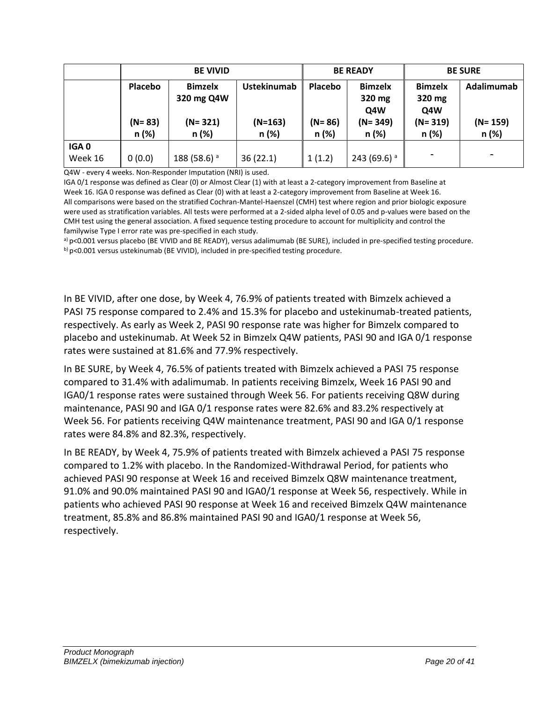|                  | <b>BE VIVID</b> |                |                    | <b>BE READY</b> |                | <b>BE SURE</b>           |             |
|------------------|-----------------|----------------|--------------------|-----------------|----------------|--------------------------|-------------|
|                  | Placebo         | <b>Bimzelx</b> | <b>Ustekinumab</b> | Placebo         | <b>Bimzelx</b> | <b>Bimzelx</b>           | Adalimumab  |
|                  |                 | 320 mg Q4W     |                    |                 | 320 mg         | 320 mg                   |             |
|                  |                 |                |                    |                 | Q4W            | Q4W                      |             |
|                  | $(N = 83)$      | $(N = 321)$    | $(N=163)$          | (N= 86)         | $(N = 349)$    | $(N = 319)$              | $(N = 159)$ |
|                  | n(%)            | n (%)          | n (%)              | $n$ (%)         | n (%)          | n (%)                    | n (%)       |
| IGA <sub>0</sub> |                 |                |                    |                 |                |                          |             |
| Week 16          | 0(0.0)          | 188 (58.6) $a$ | 36(22.1)           | 1(1.2)          | 243 (69.6) $a$ | $\overline{\phantom{0}}$ |             |

Q4W - every 4 weeks. Non-Responder Imputation (NRI) is used.

IGA 0/1 response was defined as Clear (0) or Almost Clear (1) with at least a 2-category improvement from Baseline at Week 16. IGA 0 response was defined as Clear (0) with at least a 2-category improvement from Baseline at Week 16. All comparisons were based on the stratified Cochran-Mantel-Haenszel (CMH) test where region and prior biologic exposure were used as stratification variables. All tests were performed at a 2-sided alpha level of 0.05 and p-values were based on the CMH test using the general association. A fixed sequence testing procedure to account for multiplicity and control the familywise Type I error rate was pre-specified in each study.

a) p<0.001 versus placebo (BE VIVID and BE READY), versus adalimumab (BE SURE), included in pre-specified testing procedure. b) p<0.001 versus ustekinumab (BE VIVID), included in pre-specified testing procedure.

In BE VIVID, after one dose, by Week 4, 76.9% of patients treated with Bimzelx achieved a PASI 75 response compared to 2.4% and 15.3% for placebo and ustekinumab-treated patients, respectively. As early as Week 2, PASI 90 response rate was higher for Bimzelx compared to placebo and ustekinumab. At Week 52 in Bimzelx Q4W patients, PASI 90 and IGA 0/1 response rates were sustained at 81.6% and 77.9% respectively.

In BE SURE, by Week 4, 76.5% of patients treated with Bimzelx achieved a PASI 75 response compared to 31.4% with adalimumab. In patients receiving Bimzelx, Week 16 PASI 90 and IGA0/1 response rates were sustained through Week 56. For patients receiving Q8W during maintenance, PASI 90 and IGA 0/1 response rates were 82.6% and 83.2% respectively at Week 56. For patients receiving Q4W maintenance treatment, PASI 90 and IGA 0/1 response rates were 84.8% and 82.3%, respectively.

In BE READY, by Week 4, 75.9% of patients treated with Bimzelx achieved a PASI 75 response compared to 1.2% with placebo. In the Randomized-Withdrawal Period, for patients who achieved PASI 90 response at Week 16 and received Bimzelx Q8W maintenance treatment, 91.0% and 90.0% maintained PASI 90 and IGA0/1 response at Week 56, respectively. While in patients who achieved PASI 90 response at Week 16 and received Bimzelx Q4W maintenance treatment, 85.8% and 86.8% maintained PASI 90 and IGA0/1 response at Week 56, respectively.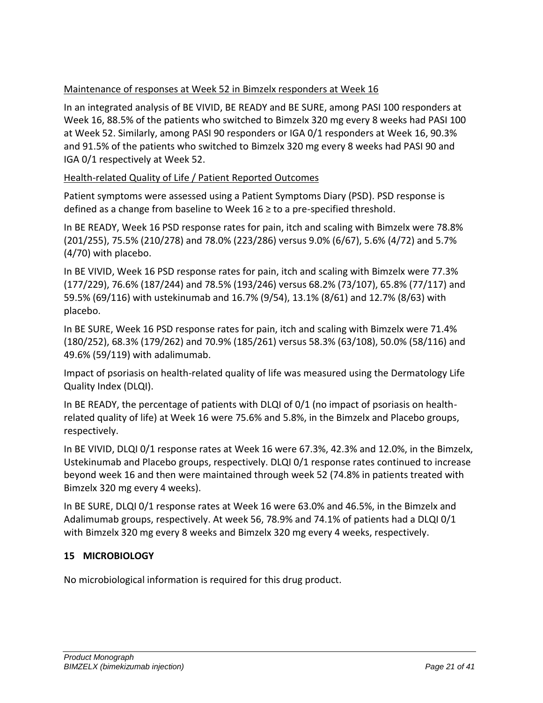# Maintenance of responses at Week 52 in Bimzelx responders at Week 16

In an integrated analysis of BE VIVID, BE READY and BE SURE, among PASI 100 responders at Week 16, 88.5% of the patients who switched to Bimzelx 320 mg every 8 weeks had PASI 100 at Week 52. Similarly, among PASI 90 responders or IGA 0/1 responders at Week 16, 90.3% and 91.5% of the patients who switched to Bimzelx 320 mg every 8 weeks had PASI 90 and IGA 0/1 respectively at Week 52.

# Health-related Quality of Life / Patient Reported Outcomes

Patient symptoms were assessed using a Patient Symptoms Diary (PSD). PSD response is defined as a change from baseline to Week 16  $\geq$  to a pre-specified threshold.

In BE READY, Week 16 PSD response rates for pain, itch and scaling with Bimzelx were 78.8% (201/255), 75.5% (210/278) and 78.0% (223/286) versus 9.0% (6/67), 5.6% (4/72) and 5.7% (4/70) with placebo.

In BE VIVID, Week 16 PSD response rates for pain, itch and scaling with Bimzelx were 77.3% (177/229), 76.6% (187/244) and 78.5% (193/246) versus 68.2% (73/107), 65.8% (77/117) and 59.5% (69/116) with ustekinumab and 16.7% (9/54), 13.1% (8/61) and 12.7% (8/63) with placebo.

In BE SURE, Week 16 PSD response rates for pain, itch and scaling with Bimzelx were 71.4% (180/252), 68.3% (179/262) and 70.9% (185/261) versus 58.3% (63/108), 50.0% (58/116) and 49.6% (59/119) with adalimumab.

Impact of psoriasis on health-related quality of life was measured using the Dermatology Life Quality Index (DLQI).

In BE READY, the percentage of patients with DLQI of 0/1 (no impact of psoriasis on healthrelated quality of life) at Week 16 were 75.6% and 5.8%, in the Bimzelx and Placebo groups, respectively.

In BE VIVID, DLQI 0/1 response rates at Week 16 were 67.3%, 42.3% and 12.0%, in the Bimzelx, Ustekinumab and Placebo groups, respectively. DLQI 0/1 response rates continued to increase beyond week 16 and then were maintained through week 52 (74.8% in patients treated with Bimzelx 320 mg every 4 weeks).

In BE SURE, DLQI 0/1 response rates at Week 16 were 63.0% and 46.5%, in the Bimzelx and Adalimumab groups, respectively. At week 56, 78.9% and 74.1% of patients had a DLQI 0/1 with Bimzelx 320 mg every 8 weeks and Bimzelx 320 mg every 4 weeks, respectively.

# <span id="page-20-0"></span>**15 MICROBIOLOGY**

No microbiological information is required for this drug product.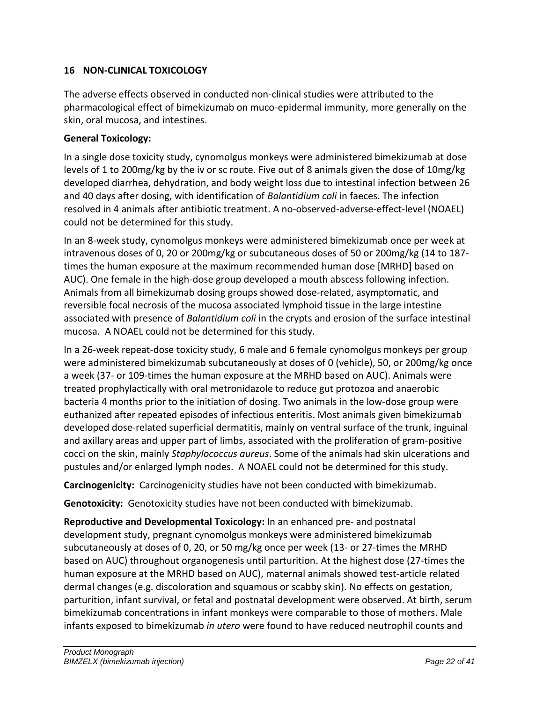# <span id="page-21-0"></span>**16 NON-CLINICAL TOXICOLOGY**

The adverse effects observed in conducted non-clinical studies were attributed to the pharmacological effect of bimekizumab on muco-epidermal immunity, more generally on the skin, oral mucosa, and intestines.

# **General Toxicology:**

In a single dose toxicity study, cynomolgus monkeys were administered bimekizumab at dose levels of 1 to 200mg/kg by the iv or sc route. Five out of 8 animals given the dose of 10mg/kg developed diarrhea, dehydration, and body weight loss due to intestinal infection between 26 and 40 days after dosing, with identification of *Balantidium coli* in faeces. The infection resolved in 4 animals after antibiotic treatment. A no-observed-adverse-effect-level (NOAEL) could not be determined for this study.

In an 8-week study, cynomolgus monkeys were administered bimekizumab once per week at intravenous doses of 0, 20 or 200mg/kg or subcutaneous doses of 50 or 200mg/kg (14 to 187 times the human exposure at the maximum recommended human dose [MRHD] based on AUC). One female in the high-dose group developed a mouth abscess following infection. Animals from all bimekizumab dosing groups showed dose-related, asymptomatic, and reversible focal necrosis of the mucosa associated lymphoid tissue in the large intestine associated with presence of *Balantidium coli* in the crypts and erosion of the surface intestinal mucosa. A NOAEL could not be determined for this study.

In a 26-week repeat-dose toxicity study, 6 male and 6 female cynomolgus monkeys per group were administered bimekizumab subcutaneously at doses of 0 (vehicle), 50, or 200mg/kg once a week (37- or 109-times the human exposure at the MRHD based on AUC). Animals were treated prophylactically with oral metronidazole to reduce gut protozoa and anaerobic bacteria 4 months prior to the initiation of dosing. Two animals in the low-dose group were euthanized after repeated episodes of infectious enteritis. Most animals given bimekizumab developed dose-related superficial dermatitis, mainly on ventral surface of the trunk, inguinal and axillary areas and upper part of limbs, associated with the proliferation of gram-positive cocci on the skin, mainly *Staphylococcus aureus*. Some of the animals had skin ulcerations and pustules and/or enlarged lymph nodes. A NOAEL could not be determined for this study.

**Carcinogenicity:** Carcinogenicity studies have not been conducted with bimekizumab.

**Genotoxicity:** Genotoxicity studies have not been conducted with bimekizumab.

**Reproductive and Developmental Toxicology:** In an enhanced pre- and postnatal development study, pregnant cynomolgus monkeys were administered bimekizumab subcutaneously at doses of 0, 20, or 50 mg/kg once per week (13- or 27-times the MRHD based on AUC) throughout organogenesis until parturition. At the highest dose (27-times the human exposure at the MRHD based on AUC), maternal animals showed test-article related dermal changes (e.g. discoloration and squamous or scabby skin). No effects on gestation, parturition, infant survival, or fetal and postnatal development were observed. At birth, serum bimekizumab concentrations in infant monkeys were comparable to those of mothers. Male infants exposed to bimekizumab *in utero* were found to have reduced neutrophil counts and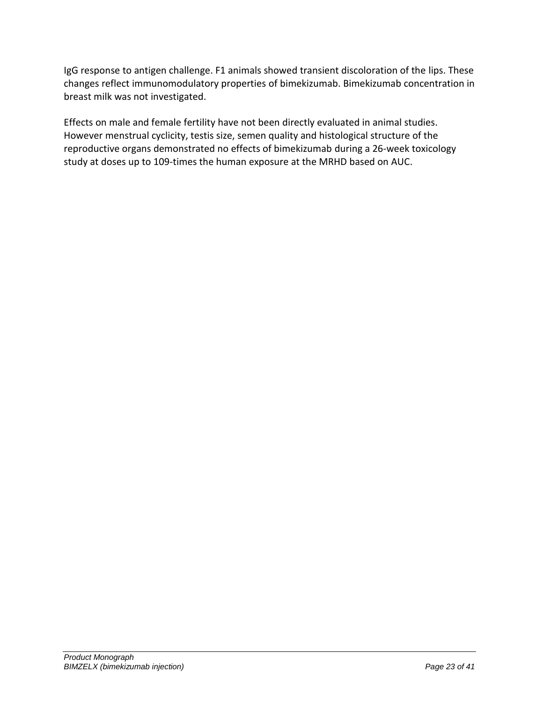IgG response to antigen challenge. F1 animals showed transient discoloration of the lips. These changes reflect immunomodulatory properties of bimekizumab. Bimekizumab concentration in breast milk was not investigated.

Effects on male and female fertility have not been directly evaluated in animal studies. However menstrual cyclicity, testis size, semen quality and histological structure of the reproductive organs demonstrated no effects of bimekizumab during a 26-week toxicology study at doses up to 109-times the human exposure at the MRHD based on AUC.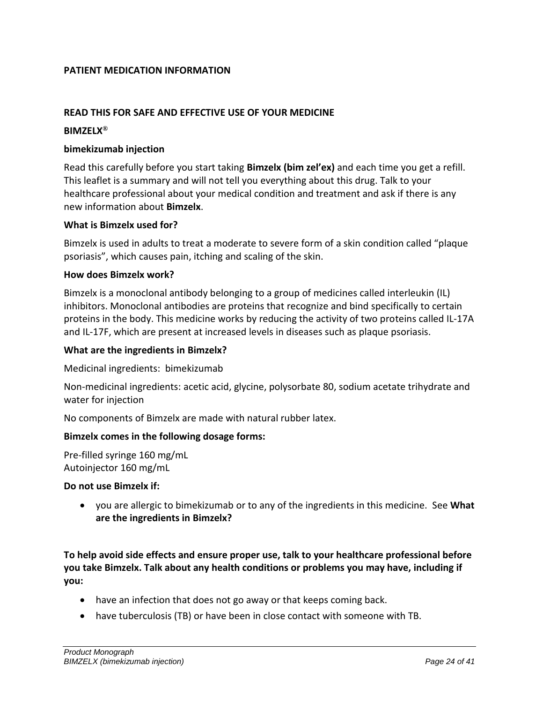#### <span id="page-23-0"></span>**PATIENT MEDICATION INFORMATION**

#### **READ THIS FOR SAFE AND EFFECTIVE USE OF YOUR MEDICINE**

#### **BIMZELX®**

#### **bimekizumab injection**

Read this carefully before you start taking **Bimzelx (bim zel'ex)** and each time you get a refill. This leaflet is a summary and will not tell you everything about this drug. Talk to your healthcare professional about your medical condition and treatment and ask if there is any new information about **Bimzelx**.

#### **What is Bimzelx used for?**

Bimzelx is used in adults to treat a moderate to severe form of a skin condition called "plaque psoriasis", which causes pain, itching and scaling of the skin.

#### **How does Bimzelx work?**

Bimzelx is a monoclonal antibody belonging to a group of medicines called interleukin (IL) inhibitors. Monoclonal antibodies are proteins that recognize and bind specifically to certain proteins in the body. This medicine works by reducing the activity of two proteins called IL-17A and IL-17F, which are present at increased levels in diseases such as plaque psoriasis.

#### **What are the ingredients in Bimzelx?**

Medicinal ingredients:bimekizumab

Non-medicinal ingredients: acetic acid, glycine, polysorbate 80, sodium acetate trihydrate and water for injection

No components of Bimzelx are made with natural rubber latex.

#### **Bimzelx comes in the following dosage forms:**

Pre-filled syringe 160 mg/mL Autoinjector 160 mg/mL

#### **Do not use Bimzelx if:**

• you are allergic to bimekizumab or to any of the ingredients in this medicine. See **What are the ingredients in Bimzelx?**

**To help avoid side effects and ensure proper use, talk to your healthcare professional before you take Bimzelx. Talk about any health conditions or problems you may have, including if you:** 

- have an infection that does not go away or that keeps coming back.
- have tuberculosis (TB) or have been in close contact with someone with TB.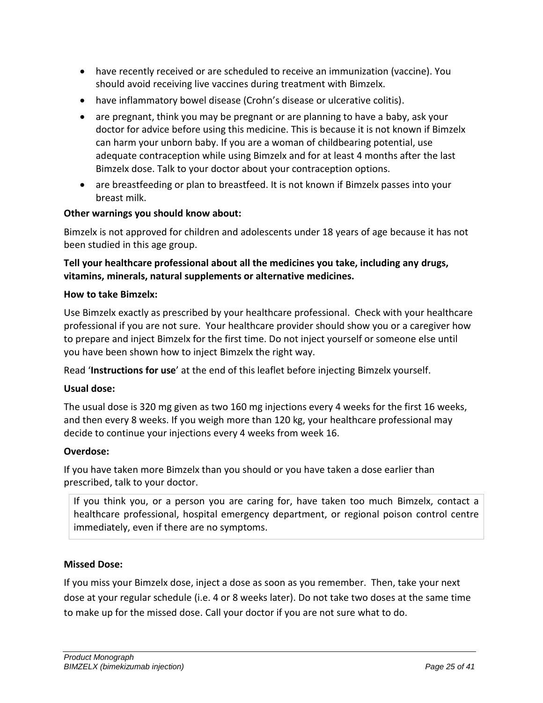- have recently received or are scheduled to receive an immunization (vaccine). You should avoid receiving live vaccines during treatment with Bimzelx.
- have inflammatory bowel disease (Crohn's disease or ulcerative colitis).
- are pregnant, think you may be pregnant or are planning to have a baby, ask your doctor for advice before using this medicine. This is because it is not known if Bimzelx can harm your unborn baby. If you are a woman of childbearing potential, use adequate contraception while using Bimzelx and for at least 4 months after the last Bimzelx dose. Talk to your doctor about your contraception options.
- are breastfeeding or plan to breastfeed. It is not known if Bimzelx passes into your breast milk.

#### **Other warnings you should know about:**

Bimzelx is not approved for children and adolescents under 18 years of age because it has not been studied in this age group.

**Tell your healthcare professional about all the medicines you take, including any drugs, vitamins, minerals, natural supplements or alternative medicines.**

#### **How to take Bimzelx:**

Use Bimzelx exactly as prescribed by your healthcare professional. Check with your healthcare professional if you are not sure. Your healthcare provider should show you or a caregiver how to prepare and inject Bimzelx for the first time. Do not inject yourself or someone else until you have been shown how to inject Bimzelx the right way.

Read '**Instructions for use**' at the end of this leaflet before injecting Bimzelx yourself.

#### **Usual dose:**

The usual dose is 320 mg given as two 160 mg injections every 4 weeks for the first 16 weeks, and then every 8 weeks. If you weigh more than 120 kg, your healthcare professional may decide to continue your injections every 4 weeks from week 16.

#### **Overdose:**

If you have taken more Bimzelx than you should or you have taken a dose earlier than prescribed, talk to your doctor.

If you think you, or a person you are caring for, have taken too much Bimzelx, contact a healthcare professional, hospital emergency department, or regional poison control centre immediately, even if there are no symptoms.

#### **Missed Dose:**

If you miss your Bimzelx dose, inject a dose as soon as you remember. Then, take your next dose at your regular schedule (i.e. 4 or 8 weeks later). Do not take two doses at the same time to make up for the missed dose. Call your doctor if you are not sure what to do.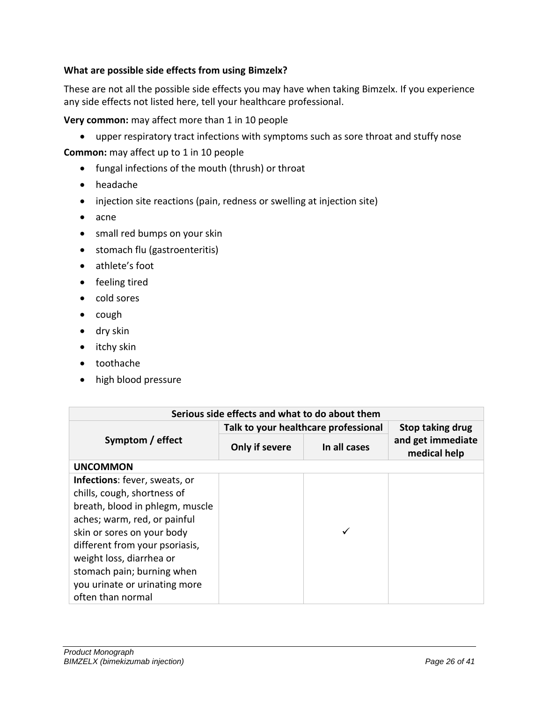# **What are possible side effects from using Bimzelx?**

These are not all the possible side effects you may have when taking Bimzelx. If you experience any side effects not listed here, tell your healthcare professional.

**Very common:** may affect more than 1 in 10 people

• upper respiratory tract infections with symptoms such as sore throat and stuffy nose

**Common:** may affect up to 1 in 10 people

- fungal infections of the mouth (thrush) or throat
- headache
- injection site reactions (pain, redness or swelling at injection site)
- acne
- small red bumps on your skin
- stomach flu (gastroenteritis)
- athlete's foot
- feeling tired
- cold sores
- cough
- dry skin
- itchy skin
- toothache
- high blood pressure

| Serious side effects and what to do about them                                                                                                                                                                                                                                                                  |                                      |                  |                                   |  |  |  |  |  |
|-----------------------------------------------------------------------------------------------------------------------------------------------------------------------------------------------------------------------------------------------------------------------------------------------------------------|--------------------------------------|------------------|-----------------------------------|--|--|--|--|--|
|                                                                                                                                                                                                                                                                                                                 | Talk to your healthcare professional | Stop taking drug |                                   |  |  |  |  |  |
| Symptom / effect                                                                                                                                                                                                                                                                                                | Only if severe                       | In all cases     | and get immediate<br>medical help |  |  |  |  |  |
| <b>UNCOMMON</b>                                                                                                                                                                                                                                                                                                 |                                      |                  |                                   |  |  |  |  |  |
| Infections: fever, sweats, or<br>chills, cough, shortness of<br>breath, blood in phlegm, muscle<br>aches; warm, red, or painful<br>skin or sores on your body<br>different from your psoriasis,<br>weight loss, diarrhea or<br>stomach pain; burning when<br>you urinate or urinating more<br>often than normal |                                      |                  |                                   |  |  |  |  |  |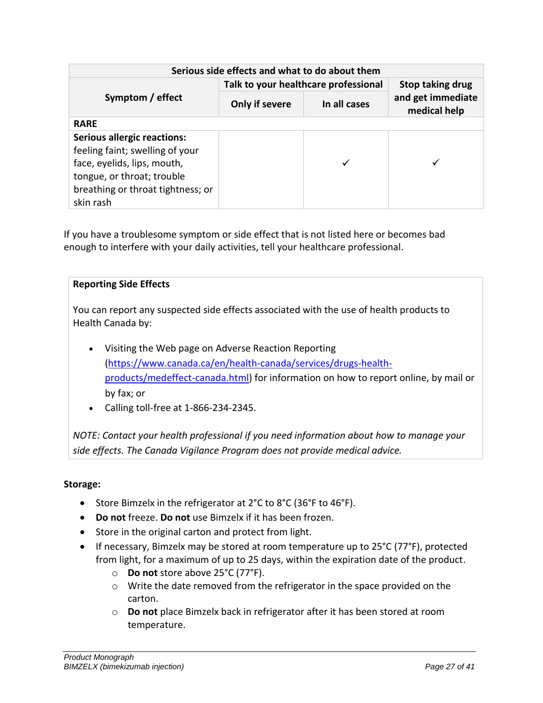| Serious side effects and what to do about them                                                                                                                                       |                                      |                         |                                   |  |  |  |  |  |
|--------------------------------------------------------------------------------------------------------------------------------------------------------------------------------------|--------------------------------------|-------------------------|-----------------------------------|--|--|--|--|--|
|                                                                                                                                                                                      | Talk to your healthcare professional | <b>Stop taking drug</b> |                                   |  |  |  |  |  |
| Symptom / effect                                                                                                                                                                     | Only if severe                       | In all cases            | and get immediate<br>medical help |  |  |  |  |  |
| <b>RARE</b>                                                                                                                                                                          |                                      |                         |                                   |  |  |  |  |  |
| <b>Serious allergic reactions:</b><br>feeling faint; swelling of your<br>face, eyelids, lips, mouth,<br>tongue, or throat; trouble<br>breathing or throat tightness; or<br>skin rash |                                      |                         |                                   |  |  |  |  |  |

If you have a troublesome symptom or side effect that is not listed here or becomes bad enough to interfere with your daily activities, tell your healthcare professional.

# **Reporting Side Effects**

You can report any suspected side effects associated with the use of health products to Health Canada by:

- Visiting the Web page on Adverse Reaction Reporting ([https://www.canada.ca/en/health-canada/services/drugs-health](https://www.canada.ca/en/health-canada/services/drugs-health-products/medeffect-canada.html)[products/medeffect-canada.html\)](https://www.canada.ca/en/health-canada/services/drugs-health-products/medeffect-canada.html) for information on how to report online, by mail or by fax; or
- Calling toll-free at 1-866-234-2345.

*NOTE: Contact your health professional if you need information about how to manage your side effects. The Canada Vigilance Program does not provide medical advice.*

#### **Storage:**

- Store Bimzelx in the refrigerator at 2°C to 8°C (36°F to 46°F).
- **Do not** freeze. **Do not** use Bimzelx if it has been frozen.
- Store in the original carton and protect from light.
- If necessary, Bimzelx may be stored at room temperature up to 25°C (77°F), protected from light, for a maximum of up to 25 days, within the expiration date of the product.
	- o **Do not** store above 25°C (77°F).
	- o Write the date removed from the refrigerator in the space provided on the carton.
	- o **Do not** place Bimzelx back in refrigerator after it has been stored at room temperature.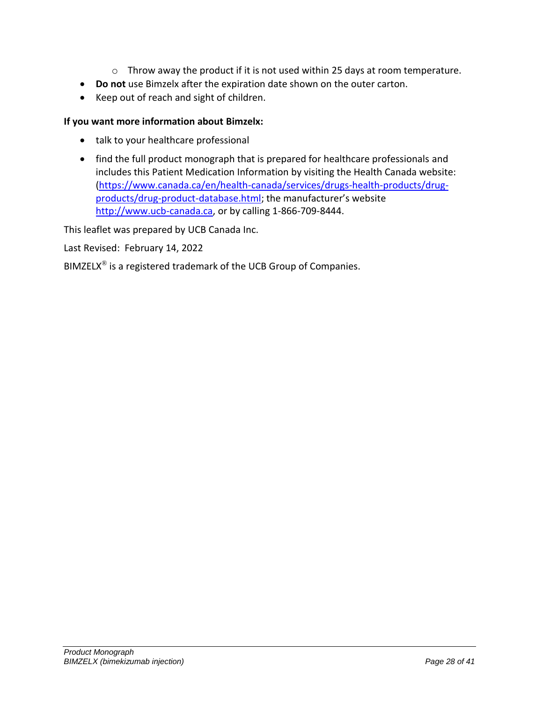- o Throw away the product if it is not used within 25 days at room temperature.
- **Do not** use Bimzelx after the expiration date shown on the outer carton.
- Keep out of reach and sight of children.

# **If you want more information about Bimzelx:**

- talk to your healthcare professional
- find the full product monograph that is prepared for healthcare professionals and includes this Patient Medication Information by visiting the Health Canada website: [\(https://www.canada.ca/en/health-canada/services/drugs-health-products/drug](https://www.canada.ca/en/health-canada/services/drugs-health-products/drug-products/drug-product-database.html)[products/drug-product-database.html;](https://www.canada.ca/en/health-canada/services/drugs-health-products/drug-products/drug-product-database.html) the manufacturer's website [http://www.ucb-canada.ca](http://www.ucbcanada.ca/), or by calling 1-866-709-8444.

This leaflet was prepared by UCB Canada Inc.

Last Revised: February 14, 2022

BIMZELX<sup>®</sup> is a registered trademark of the UCB Group of Companies.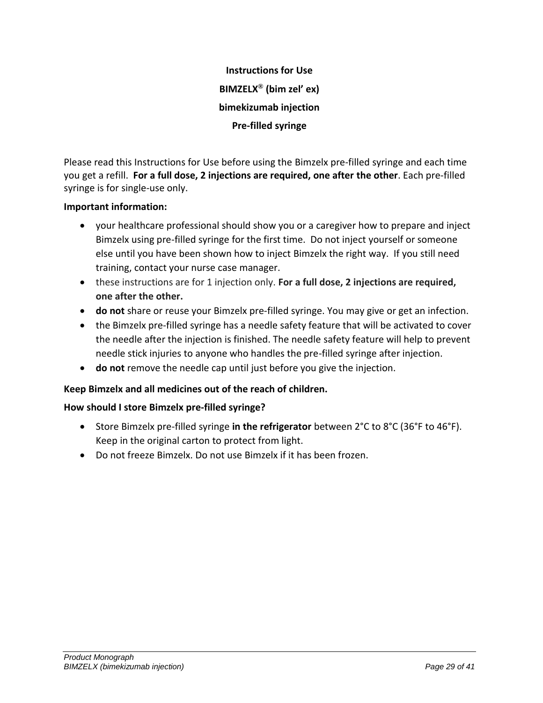**Instructions for Use BIMZELX® (bim zel' ex) bimekizumab injection Pre-filled syringe**

Please read this Instructions for Use before using the Bimzelx pre-filled syringe and each time you get a refill. **For a full dose, 2 injections are required, one after the other**. Each pre-filled syringe is for single-use only.

# **Important information:**

- your healthcare professional should show you or a caregiver how to prepare and inject Bimzelx using pre-filled syringe for the first time. Do not inject yourself or someone else until you have been shown how to inject Bimzelx the right way. If you still need training, contact your nurse case manager.
- these instructions are for 1 injection only. **For a full dose, 2 injections are required, one after the other.**
- **do not** share or reuse your Bimzelx pre-filled syringe. You may give or get an infection.
- the Bimzelx pre-filled syringe has a needle safety feature that will be activated to cover the needle after the injection is finished. The needle safety feature will help to prevent needle stick injuries to anyone who handles the pre-filled syringe after injection.
- **do not** remove the needle cap until just before you give the injection.

# **Keep Bimzelx and all medicines out of the reach of children.**

#### **How should I store Bimzelx pre-filled syringe?**

- Store Bimzelx pre-filled syringe **in the refrigerator** between 2°C to 8°C (36°F to 46°F). Keep in the original carton to protect from light.
- Do not freeze Bimzelx. Do not use Bimzelx if it has been frozen.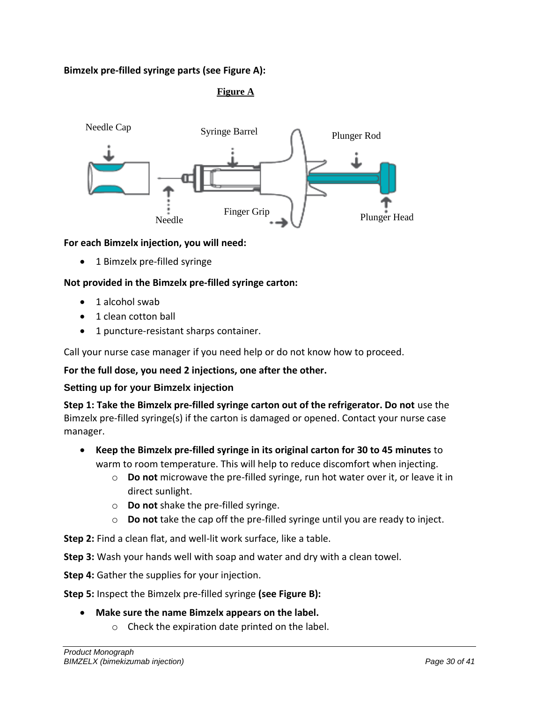# **Bimzelx pre-filled syringe parts (see Figure A):**

# **Figure A**



#### **For each Bimzelx injection, you will need:**

• 1 Bimzelx pre-filled syringe

#### **Not provided in the Bimzelx pre-filled syringe carton:**

- 1 alcohol swab
- 1 clean cotton ball
- 1 puncture-resistant sharps container.

Call your nurse case manager if you need help or do not know how to proceed.

# **For the full dose, you need 2 injections, one after the other.**

#### **Setting up for your Bimzelx injection**

**Step 1: Take the Bimzelx pre-filled syringe carton out of the refrigerator. Do not** use the Bimzelx pre-filled syringe(s) if the carton is damaged or opened. Contact your nurse case manager.

- **Keep the Bimzelx pre-filled syringe in its original carton for 30 to 45 minutes** to warm to room temperature. This will help to reduce discomfort when injecting.
	- o **Do not** microwave the pre-filled syringe, run hot water over it, or leave it in direct sunlight.
	- o **Do not** shake the pre-filled syringe.
	- o **Do not** take the cap off the pre-filled syringe until you are ready to inject.

**Step 2:** Find a clean flat, and well-lit work surface, like a table.

**Step 3:** Wash your hands well with soap and water and dry with a clean towel.

**Step 4:** Gather the supplies for your injection.

**Step 5:** Inspect the Bimzelx pre-filled syringe **(see Figure B):**

#### • **Make sure the name Bimzelx appears on the label.**

o Check the expiration date printed on the label.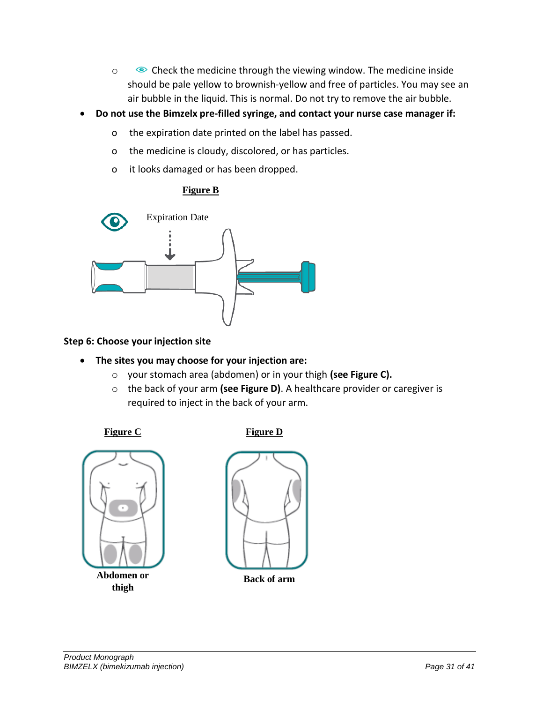- o Check the medicine through the viewing window. The medicine inside should be pale yellow to brownish-yellow and free of particles. You may see an air bubble in the liquid. This is normal. Do not try to remove the air bubble.
- **Do not use the Bimzelx pre-filled syringe, and contact your nurse case manager if:**
	- o the expiration date printed on the label has passed.
	- o the medicine is cloudy, discolored, or has particles.
	- o it looks damaged or has been dropped.

# **Figure B**



#### **Step 6: Choose your injection site**

- **The sites you may choose for your injection are:**
	- o your stomach area (abdomen) or in your thigh **(see Figure C).**
	- o the back of your arm **(see Figure D)**. A healthcare provider or caregiver is required to inject in the back of your arm.

# **Figure C** Figure D



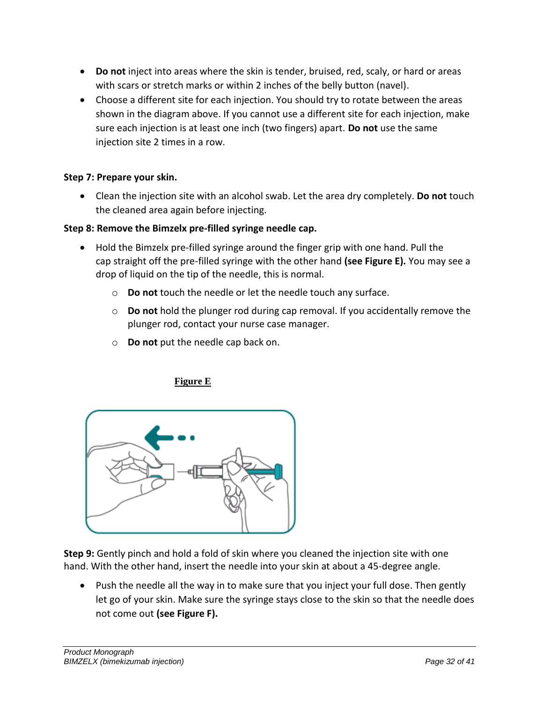- **Do not** inject into areas where the skin is tender, bruised, red, scaly, or hard or areas with scars or stretch marks or within 2 inches of the belly button (navel).
- Choose a different site for each injection. You should try to rotate between the areas shown in the diagram above. If you cannot use a different site for each injection, make sure each injection is at least one inch (two fingers) apart. **Do not** use the same injection site 2 times in a row.

# **Step 7: Prepare your skin.**

• Clean the injection site with an alcohol swab. Let the area dry completely. **Do not** touch the cleaned area again before injecting.

# **Step 8: Remove the Bimzelx pre-filled syringe needle cap.**

- Hold the Bimzelx pre-filled syringe around the finger grip with one hand. Pull the cap straight off the pre-filled syringe with the other hand **(see Figure E).** You may see a drop of liquid on the tip of the needle, this is normal.
	- o **Do not** touch the needle or let the needle touch any surface.
	- o **Do not** hold the plunger rod during cap removal. If you accidentally remove the plunger rod, contact your nurse case manager.
	- o **Do not** put the needle cap back on.

# **Figure E**



**Step 9:** Gently pinch and hold a fold of skin where you cleaned the injection site with one hand. With the other hand, insert the needle into your skin at about a 45-degree angle.

• Push the needle all the way in to make sure that you inject your full dose. Then gently let go of your skin. Make sure the syringe stays close to the skin so that the needle does not come out **(see Figure F).**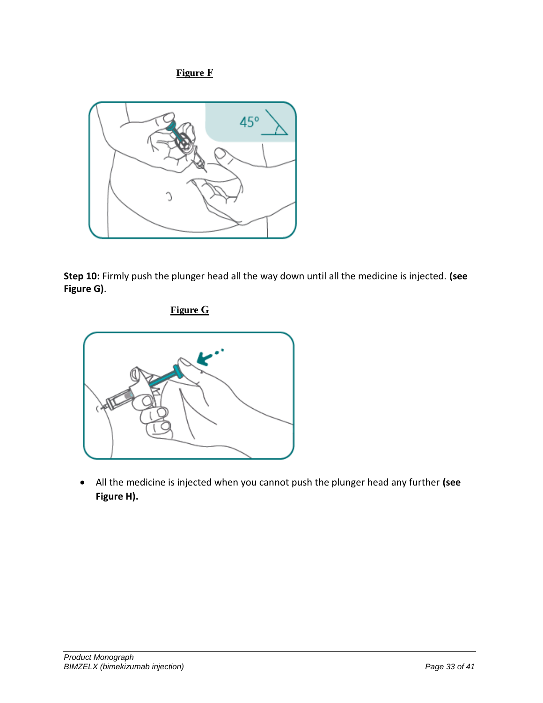**Figure F**



**Step 10:** Firmly push the plunger head all the way down until all the medicine is injected. **(see Figure G)**.

**Figure G**



• All the medicine is injected when you cannot push the plunger head any further **(see Figure H).**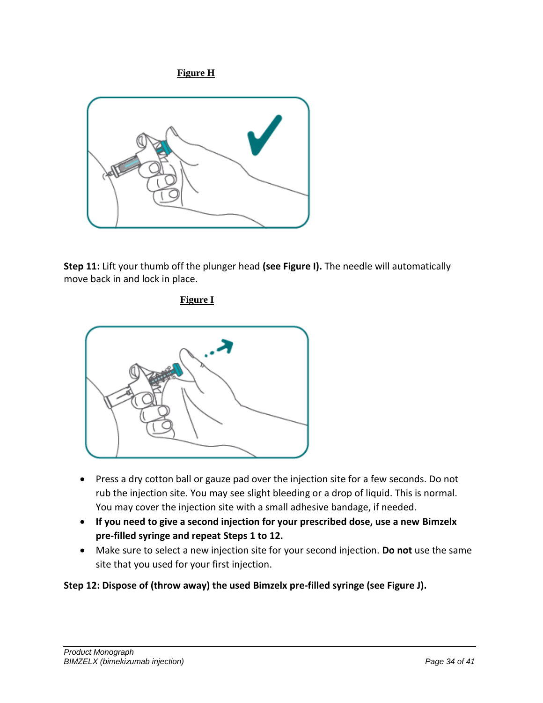**Figure H**



**Step 11:** Lift your thumb off the plunger head **(see Figure I).** The needle will automatically move back in and lock in place.

**Figure I**



- Press a dry cotton ball or gauze pad over the injection site for a few seconds. Do not rub the injection site. You may see slight bleeding or a drop of liquid. This is normal. You may cover the injection site with a small adhesive bandage, if needed.
- **If you need to give a second injection for your prescribed dose, use a new Bimzelx pre-filled syringe and repeat Steps 1 to 12.**
- Make sure to select a new injection site for your second injection. **Do not** use the same site that you used for your first injection.

# **Step 12: Dispose of (throw away) the used Bimzelx pre-filled syringe (see Figure J).**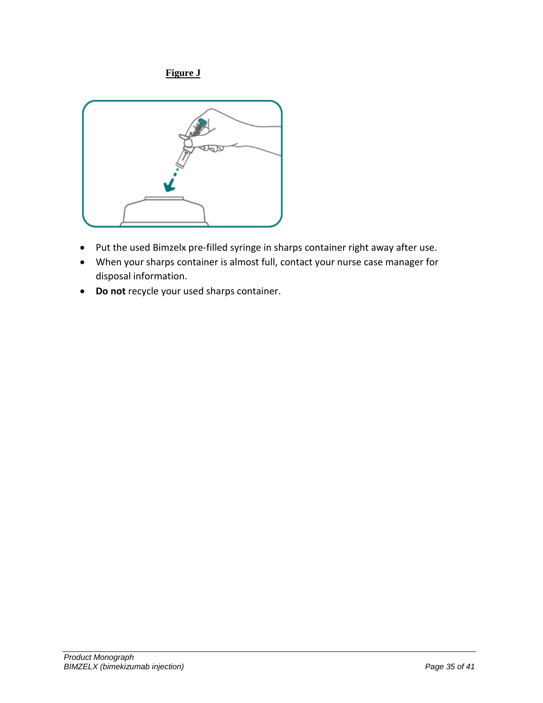# **Figure J**



- Put the used Bimzelx pre-filled syringe in sharps container right away after use.
- When your sharps container is almost full, contact your nurse case manager for disposal information.
- **Do not** recycle your used sharps container.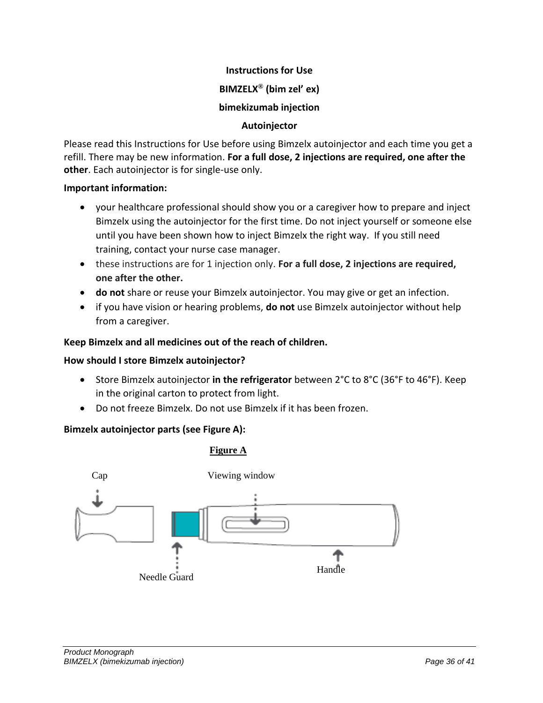# **Instructions for Use BIMZELX® (bim zel' ex) bimekizumab injection**

# **Autoinjector**

Please read this Instructions for Use before using Bimzelx autoinjector and each time you get a refill. There may be new information. **For a full dose, 2 injections are required, one after the other**. Each autoinjector is for single-use only.

# **Important information:**

- your healthcare professional should show you or a caregiver how to prepare and inject Bimzelx using the autoinjector for the first time. Do not inject yourself or someone else until you have been shown how to inject Bimzelx the right way. If you still need training, contact your nurse case manager.
- these instructions are for 1 injection only. **For a full dose, 2 injections are required, one after the other.**
- **do not** share or reuse your Bimzelx autoinjector. You may give or get an infection.
- if you have vision or hearing problems, **do not** use Bimzelx autoinjector without help from a caregiver.

# **Keep Bimzelx and all medicines out of the reach of children.**

# **How should I store Bimzelx autoinjector?**

- Store Bimzelx autoinjector **in the refrigerator** between 2°C to 8°C (36°F to 46°F). Keep in the original carton to protect from light.
- Do not freeze Bimzelx. Do not use Bimzelx if it has been frozen.

# **Bimzelx autoinjector parts (see Figure A):**

# **Figure A**

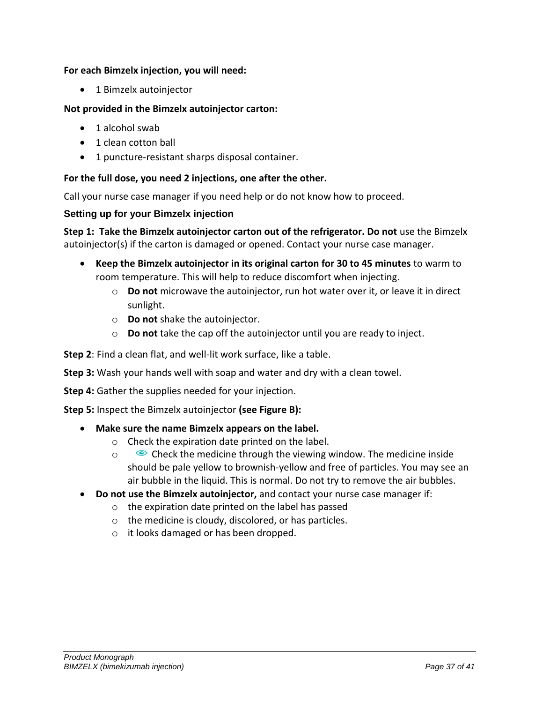#### **For each Bimzelx injection, you will need:**

• 1 Bimzelx autoinjector

#### **Not provided in the Bimzelx autoinjector carton:**

- 1 alcohol swab
- 1 clean cotton ball
- 1 puncture-resistant sharps disposal container.

#### **For the full dose, you need 2 injections, one after the other.**

Call your nurse case manager if you need help or do not know how to proceed.

#### **Setting up for your Bimzelx injection**

**Step 1: Take the Bimzelx autoinjector carton out of the refrigerator. Do not** use the Bimzelx autoinjector(s) if the carton is damaged or opened. Contact your nurse case manager.

- **Keep the Bimzelx autoinjector in its original carton for 30 to 45 minutes** to warm to room temperature. This will help to reduce discomfort when injecting.
	- o **Do not** microwave the autoinjector, run hot water over it, or leave it in direct sunlight.
	- o **Do not** shake the autoinjector.
	- o **Do not** take the cap off the autoinjector until you are ready to inject.

**Step 2**: Find a clean flat, and well-lit work surface, like a table.

**Step 3:** Wash your hands well with soap and water and dry with a clean towel.

**Step 4:** Gather the supplies needed for your injection.

**Step 5:** Inspect the Bimzelx autoinjector **(see Figure B):**

- **Make sure the name Bimzelx appears on the label.**
	- o Check the expiration date printed on the label.
	- $\circ$  Check the medicine through the viewing window. The medicine inside should be pale yellow to brownish-yellow and free of particles. You may see an air bubble in the liquid. This is normal. Do not try to remove the air bubbles.
- **Do not use the Bimzelx autoinjector,** and contact your nurse case manager if:
	- o the expiration date printed on the label has passed
	- o the medicine is cloudy, discolored, or has particles.
	- o it looks damaged or has been dropped.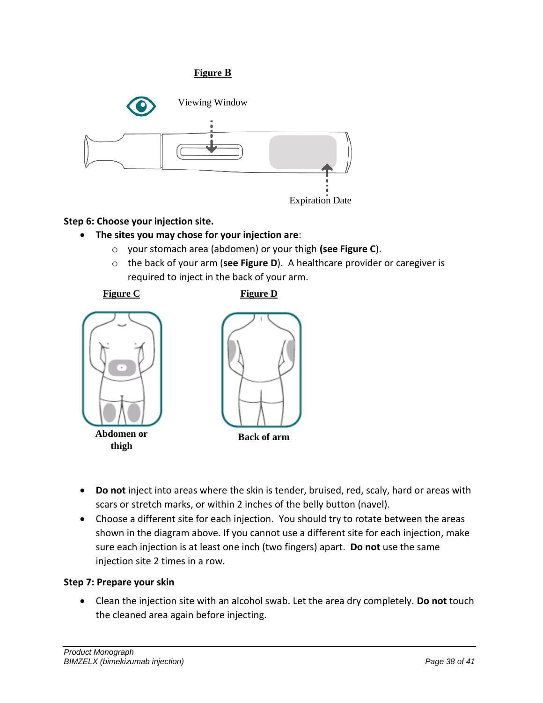# Viewing Window Expiration Date **Figure B**

# **Step 6: Choose your injection site.**

- **The sites you may chose for your injection are**:
	- o your stomach area (abdomen) or your thigh **(see Figure C**).
	- o the back of your arm (**see Figure D**). A healthcare provider or caregiver is required to inject in the back of your arm.



- **Do not** inject into areas where the skin is tender, bruised, red, scaly, hard or areas with scars or stretch marks, or within 2 inches of the belly button (navel).
- Choose a different site for each injection. You should try to rotate between the areas shown in the diagram above. If you cannot use a different site for each injection, make sure each injection is at least one inch (two fingers) apart. **Do not** use the same injection site 2 times in a row.

#### **Step 7: Prepare your skin**

• Clean the injection site with an alcohol swab. Let the area dry completely. **Do not** touch the cleaned area again before injecting.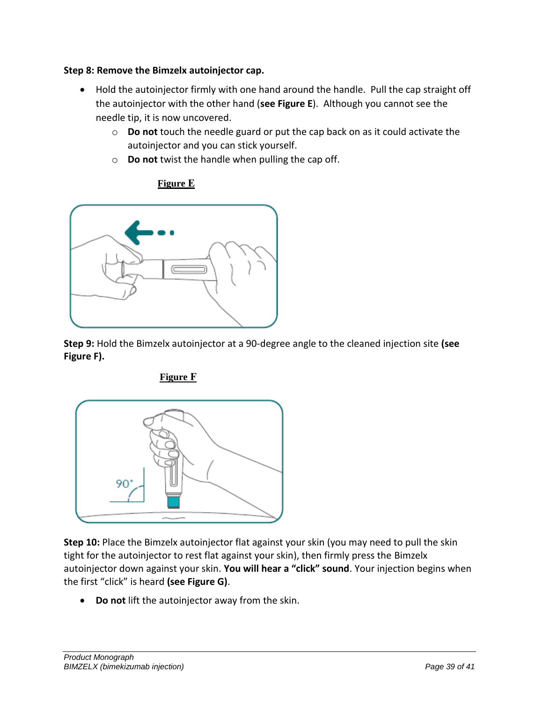#### **Step 8: Remove the Bimzelx autoinjector cap.**

- Hold the autoinjector firmly with one hand around the handle. Pull the cap straight off the autoinjector with the other hand (**see Figure E**). Although you cannot see the needle tip, it is now uncovered.
	- o **Do not** touch the needle guard or put the cap back on as it could activate the autoinjector and you can stick yourself.
	- o **Do not** twist the handle when pulling the cap off.

# **Figure E**



**Step 9:** Hold the Bimzelx autoinjector at a 90-degree angle to the cleaned injection site **(see Figure F).**



**Figure F**

**Step 10:** Place the Bimzelx autoinjector flat against your skin (you may need to pull the skin tight for the autoinjector to rest flat against your skin), then firmly press the Bimzelx autoinjector down against your skin. **You will hear a "click" sound**. Your injection begins when the first "click" is heard **(see Figure G)**.

• **Do not** lift the autoinjector away from the skin.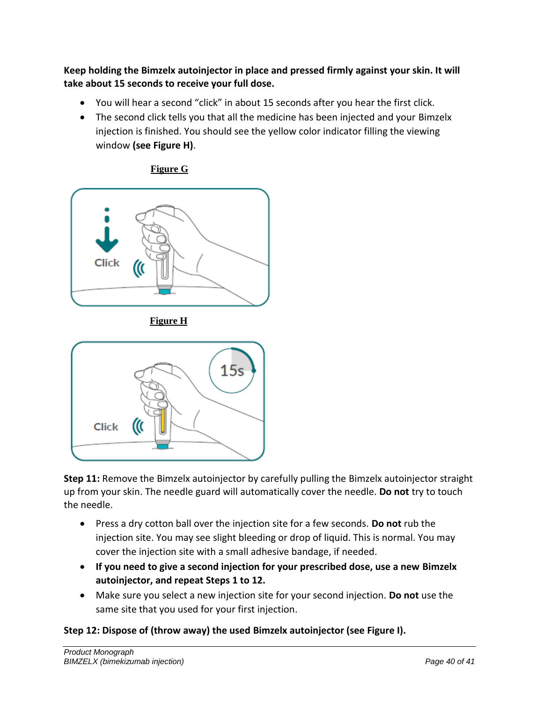**Keep holding the Bimzelx autoinjector in place and pressed firmly against your skin. It will take about 15 seconds to receive your full dose.**

- You will hear a second "click" in about 15 seconds after you hear the first click.
- The second click tells you that all the medicine has been injected and your Bimzelx injection is finished. You should see the yellow color indicator filling the viewing window **(see Figure H)**.



**Figure G**

**Figure H**



**Step 11:** Remove the Bimzelx autoinjector by carefully pulling the Bimzelx autoinjector straight up from your skin. The needle guard will automatically cover the needle. **Do not** try to touch the needle.

- Press a dry cotton ball over the injection site for a few seconds. **Do not** rub the injection site. You may see slight bleeding or drop of liquid. This is normal. You may cover the injection site with a small adhesive bandage, if needed.
- **If you need to give a second injection for your prescribed dose, use a new Bimzelx autoinjector, and repeat Steps 1 to 12.**
- Make sure you select a new injection site for your second injection. **Do not** use the same site that you used for your first injection.

# **Step 12: Dispose of (throw away) the used Bimzelx autoinjector (see Figure I).**